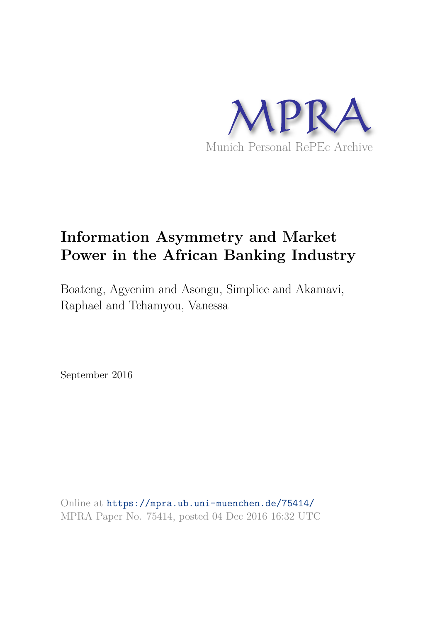

# **Information Asymmetry and Market Power in the African Banking Industry**

Boateng, Agyenim and Asongu, Simplice and Akamavi, Raphael and Tchamyou, Vanessa

September 2016

Online at https://mpra.ub.uni-muenchen.de/75414/ MPRA Paper No. 75414, posted 04 Dec 2016 16:32 UTC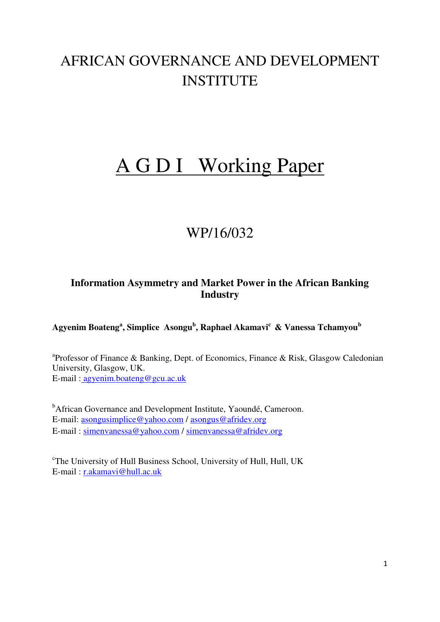# AFRICAN GOVERNANCE AND DEVELOPMENT INSTITUTE

# A G D I Working Paper

# WP/16/032

# **Information Asymmetry and Market Power in the African Banking Industry**

**Agyenim Boateng<sup>a</sup> , Simplice Asongu<sup>b</sup> , Raphael Akamavi<sup>c</sup>& Vanessa Tchamyou<sup>b</sup>**

<sup>a</sup> Professor of Finance & Banking, Dept. of Economics, Finance & Risk, Glasgow Caledonian University, Glasgow, UK. E-mail : [agyenim.boateng@gcu.ac.uk](https://us-mg5.mail.yahoo.com/neo/launch?.rand=fqvejga63igo7)

<sup>b</sup>African Governance and Development Institute, Yaoundé, Cameroon. E-mail: [asongusimplice@yahoo.com](mailto:asongusimplice@yahoo.com) / [asongus@afridev.org](mailto:asongus@afridev.org)  E-mail : [simenvanessa@yahoo.com](mailto:simenvanessa@yahoo.com) / [simenvanessa@afridev.org](mailto:simenvanessa@afridev.org) 

c The University of Hull Business School, University of Hull, Hull, UK E-mail : [r.akamavi@hull.ac.uk](https://us-mg5.mail.yahoo.com/neo/launch?.rand=fqvejga63igo7)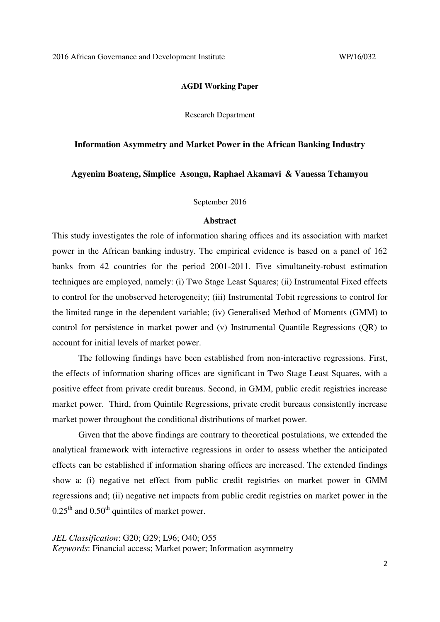#### **AGDI Working Paper**

Research Department

#### **Information Asymmetry and Market Power in the African Banking Industry**

#### **Agyenim Boateng, Simplice Asongu, Raphael Akamavi & Vanessa Tchamyou**

#### September 2016

#### **Abstract**

This study investigates the role of information sharing offices and its association with market power in the African banking industry. The empirical evidence is based on a panel of 162 banks from 42 countries for the period 2001-2011. Five simultaneity-robust estimation techniques are employed, namely: (i) Two Stage Least Squares; (ii) Instrumental Fixed effects to control for the unobserved heterogeneity; (iii) Instrumental Tobit regressions to control for the limited range in the dependent variable; (iv) Generalised Method of Moments (GMM) to control for persistence in market power and (v) Instrumental Quantile Regressions (QR) to account for initial levels of market power.

The following findings have been established from non-interactive regressions. First, the effects of information sharing offices are significant in Two Stage Least Squares, with a positive effect from private credit bureaus. Second, in GMM, public credit registries increase market power. Third, from Quintile Regressions, private credit bureaus consistently increase market power throughout the conditional distributions of market power.

 Given that the above findings are contrary to theoretical postulations, we extended the analytical framework with interactive regressions in order to assess whether the anticipated effects can be established if information sharing offices are increased. The extended findings show a: (i) negative net effect from public credit registries on market power in GMM regressions and; (ii) negative net impacts from public credit registries on market power in the  $0.25<sup>th</sup>$  and  $0.50<sup>th</sup>$  quintiles of market power.

*JEL Classification*: G20; G29; L96; O40; O55 *Keywords*: Financial access; Market power; Information asymmetry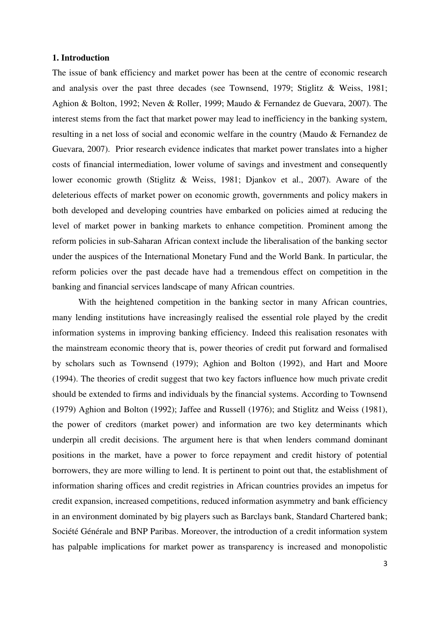#### **1. Introduction**

The issue of bank efficiency and market power has been at the centre of economic research and analysis over the past three decades (see Townsend, 1979; Stiglitz & Weiss, 1981; Aghion & Bolton, 1992; Neven & Roller, 1999; Maudo & Fernandez de Guevara, 2007). The interest stems from the fact that market power may lead to inefficiency in the banking system, resulting in a net loss of social and economic welfare in the country (Maudo & Fernandez de Guevara, 2007). Prior research evidence indicates that market power translates into a higher costs of financial intermediation, lower volume of savings and investment and consequently lower economic growth (Stiglitz & Weiss, 1981; Djankov et al., 2007). Aware of the deleterious effects of market power on economic growth, governments and policy makers in both developed and developing countries have embarked on policies aimed at reducing the level of market power in banking markets to enhance competition. Prominent among the reform policies in sub-Saharan African context include the liberalisation of the banking sector under the auspices of the International Monetary Fund and the World Bank. In particular, the reform policies over the past decade have had a tremendous effect on competition in the banking and financial services landscape of many African countries.

With the heightened competition in the banking sector in many African countries, many lending institutions have increasingly realised the essential role played by the credit information systems in improving banking efficiency. Indeed this realisation resonates with the mainstream economic theory that is, power theories of credit put forward and formalised by scholars such as Townsend (1979); Aghion and Bolton (1992), and Hart and Moore (1994). The theories of credit suggest that two key factors influence how much private credit should be extended to firms and individuals by the financial systems. According to Townsend (1979) Aghion and Bolton (1992); Jaffee and Russell (1976); and Stiglitz and Weiss (1981), the power of creditors (market power) and information are two key determinants which underpin all credit decisions. The argument here is that when lenders command dominant positions in the market, have a power to force repayment and credit history of potential borrowers, they are more willing to lend. It is pertinent to point out that, the establishment of information sharing offices and credit registries in African countries provides an impetus for credit expansion, increased competitions, reduced information asymmetry and bank efficiency in an environment dominated by big players such as Barclays bank, Standard Chartered bank; Société Générale and BNP Paribas. Moreover, the introduction of a credit information system has palpable implications for market power as transparency is increased and monopolistic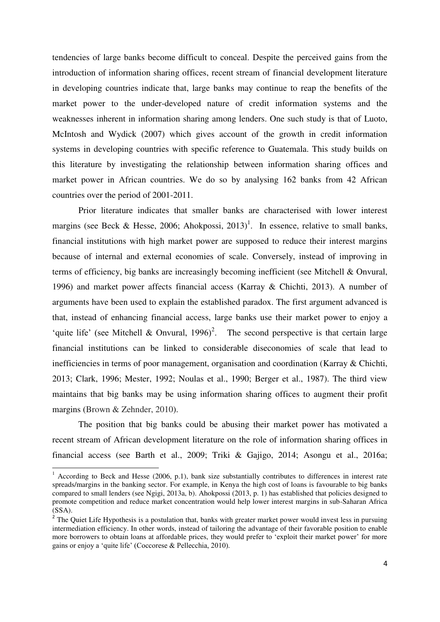tendencies of large banks become difficult to conceal. Despite the perceived gains from the introduction of information sharing offices, recent stream of financial development literature in developing countries indicate that, large banks may continue to reap the benefits of the market power to the under-developed nature of credit information systems and the weaknesses inherent in information sharing among lenders. One such study is that of Luoto, McIntosh and Wydick (2007) which gives account of the growth in credit information systems in developing countries with specific reference to Guatemala. This study builds on this literature by investigating the relationship between information sharing offices and market power in African countries. We do so by analysing 162 banks from 42 African countries over the period of 2001-2011.

Prior literature indicates that smaller banks are characterised with lower interest margins (see Beck & Hesse, 2006; Ahokpossi, 2013)<sup>1</sup>. In essence, relative to small banks, financial institutions with high market power are supposed to reduce their interest margins because of internal and external economies of scale. Conversely, instead of improving in terms of efficiency, big banks are increasingly becoming inefficient (see Mitchell & Onvural, 1996) and market power affects financial access (Karray & Chichti, 2013). A number of arguments have been used to explain the established paradox. The first argument advanced is that, instead of enhancing financial access, large banks use their market power to enjoy a 'quite life' (see Mitchell & Onvural, 1996)<sup>2</sup>. The second perspective is that certain large financial institutions can be linked to considerable diseconomies of scale that lead to inefficiencies in terms of poor management, organisation and coordination (Karray & Chichti, 2013; Clark, 1996; Mester, 1992; Noulas et al., 1990; Berger et al., 1987). The third view maintains that big banks may be using information sharing offices to augment their profit margins (Brown & Zehnder, 2010).

The position that big banks could be abusing their market power has motivated a recent stream of African development literature on the role of information sharing offices in financial access (see Barth et al., 2009; Triki & Gajigo, 2014; Asongu et al., 2016a;

 $\overline{a}$ 

<sup>&</sup>lt;sup>1</sup> According to Beck and Hesse (2006, p.1), bank size substantially contributes to differences in interest rate spreads/margins in the banking sector. For example, in Kenya the high cost of loans is favourable to big banks compared to small lenders (see Ngigi, 2013a, b). Ahokpossi (2013, p. 1) has established that policies designed to promote competition and reduce market concentration would help lower interest margins in sub-Saharan Africa (SSA).

 $2^{2}$  The Quiet Life Hypothesis is a postulation that, banks with greater market power would invest less in pursuing intermediation efficiency. In other words, instead of tailoring the advantage of their favorable position to enable more borrowers to obtain loans at affordable prices, they would prefer to 'exploit their market power' for more gains or enjoy a 'quite life' (Coccorese & Pellecchia, 2010).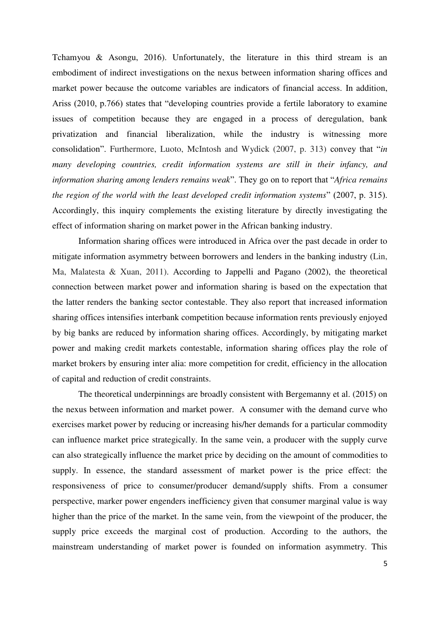Tchamyou & Asongu, 2016). Unfortunately, the literature in this third stream is an embodiment of indirect investigations on the nexus between information sharing offices and market power because the outcome variables are indicators of financial access. In addition, Ariss (2010, p.766) states that "developing countries provide a fertile laboratory to examine issues of competition because they are engaged in a process of deregulation, bank privatization and financial liberalization, while the industry is witnessing more consolidation". Furthermore, Luoto, McIntosh and Wydick (2007, p. 313) convey that "*in many developing countries, credit information systems are still in their infancy, and information sharing among lenders remains weak*". They go on to report that "*Africa remains the region of the world with the least developed credit information systems*" (2007, p. 315). Accordingly, this inquiry complements the existing literature by directly investigating the effect of information sharing on market power in the African banking industry.

Information sharing offices were introduced in Africa over the past decade in order to mitigate information asymmetry between borrowers and lenders in the banking industry (Lin, Ma, Malatesta & Xuan, 2011). According to Jappelli and Pagano (2002), the theoretical connection between market power and information sharing is based on the expectation that the latter renders the banking sector contestable. They also report that increased information sharing offices intensifies interbank competition because information rents previously enjoyed by big banks are reduced by information sharing offices. Accordingly, by mitigating market power and making credit markets contestable, information sharing offices play the role of market brokers by ensuring inter alia: more competition for credit, efficiency in the allocation of capital and reduction of credit constraints.

The theoretical underpinnings are broadly consistent with Bergemanny et al. (2015) on the nexus between information and market power. A consumer with the demand curve who exercises market power by reducing or increasing his/her demands for a particular commodity can influence market price strategically. In the same vein, a producer with the supply curve can also strategically influence the market price by deciding on the amount of commodities to supply. In essence, the standard assessment of market power is the price effect: the responsiveness of price to consumer/producer demand/supply shifts. From a consumer perspective, marker power engenders inefficiency given that consumer marginal value is way higher than the price of the market. In the same vein, from the viewpoint of the producer, the supply price exceeds the marginal cost of production. According to the authors, the mainstream understanding of market power is founded on information asymmetry. This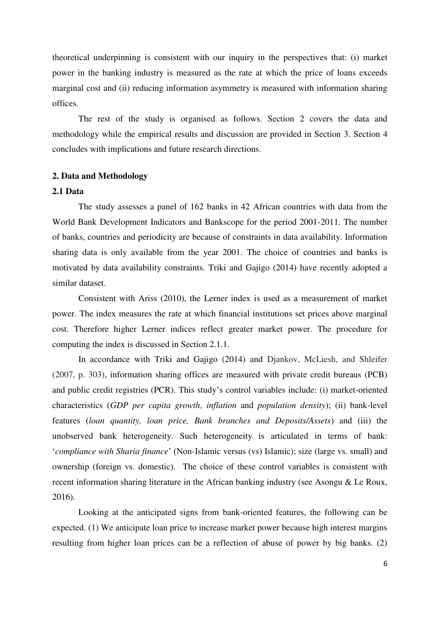theoretical underpinning is consistent with our inquiry in the perspectives that: (i) market power in the banking industry is measured as the rate at which the price of loans exceeds marginal cost and (ii) reducing information asymmetry is measured with information sharing offices.

 The rest of the study is organised as follows. Section 2 covers the data and methodology while the empirical results and discussion are provided in Section 3. Section 4 concludes with implications and future research directions.

#### **2. Data and Methodology**

#### **2.1 Data**

 The study assesses a panel of 162 banks in 42 African countries with data from the World Bank Development Indicators and Bankscope for the period 2001-2011. The number of banks, countries and periodicity are because of constraints in data availability. Information sharing data is only available from the year 2001. The choice of countries and banks is motivated by data availability constraints. Triki and Gajigo (2014) have recently adopted a similar dataset.

 Consistent with Ariss (2010), the Lerner index is used as a measurement of market power. The index measures the rate at which financial institutions set prices above marginal cost. Therefore higher Lerner indices reflect greater market power. The procedure for computing the index is discussed in Section 2.1.1.

 In accordance with Triki and Gajigo (2014) and Djankov, McLiesh, and Shleifer (2007, p. 303), information sharing offices are measured with private credit bureaus (PCB) and public credit registries (PCR). This study's control variables include: (i) market-oriented characteristics (*GDP per capita growth*, *inflation* and *population density*); (ii) bank-level features (*loan quantity, loan price, Bank branches and Deposits/Assets*) and (iii) the unobserved bank heterogeneity. Such heterogeneity is articulated in terms of bank: '*compliance with Sharia finance*' (Non-Islamic versus (vs) Islamic); size (large vs. small) and ownership (foreign vs. domestic). The choice of these control variables is consistent with recent information sharing literature in the African banking industry (see Asongu & Le Roux, 2016).

Looking at the anticipated signs from bank-oriented features, the following can be expected. (1) We anticipate loan price to increase market power because high interest margins resulting from higher loan prices can be a reflection of abuse of power by big banks. (2)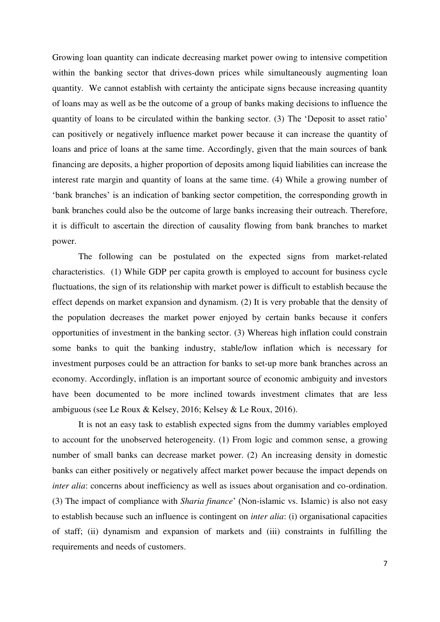Growing loan quantity can indicate decreasing market power owing to intensive competition within the banking sector that drives-down prices while simultaneously augmenting loan quantity. We cannot establish with certainty the anticipate signs because increasing quantity of loans may as well as be the outcome of a group of banks making decisions to influence the quantity of loans to be circulated within the banking sector. (3) The 'Deposit to asset ratio' can positively or negatively influence market power because it can increase the quantity of loans and price of loans at the same time. Accordingly, given that the main sources of bank financing are deposits, a higher proportion of deposits among liquid liabilities can increase the interest rate margin and quantity of loans at the same time. (4) While a growing number of 'bank branches' is an indication of banking sector competition, the corresponding growth in bank branches could also be the outcome of large banks increasing their outreach. Therefore, it is difficult to ascertain the direction of causality flowing from bank branches to market power.

 The following can be postulated on the expected signs from market-related characteristics. (1) While GDP per capita growth is employed to account for business cycle fluctuations, the sign of its relationship with market power is difficult to establish because the effect depends on market expansion and dynamism. (2) It is very probable that the density of the population decreases the market power enjoyed by certain banks because it confers opportunities of investment in the banking sector. (3) Whereas high inflation could constrain some banks to quit the banking industry, stable/low inflation which is necessary for investment purposes could be an attraction for banks to set-up more bank branches across an economy. Accordingly, inflation is an important source of economic ambiguity and investors have been documented to be more inclined towards investment climates that are less ambiguous (see Le Roux & Kelsey, 2016; Kelsey & Le Roux, 2016).

 It is not an easy task to establish expected signs from the dummy variables employed to account for the unobserved heterogeneity. (1) From logic and common sense, a growing number of small banks can decrease market power. (2) An increasing density in domestic banks can either positively or negatively affect market power because the impact depends on *inter alia*: concerns about inefficiency as well as issues about organisation and co-ordination. (3) The impact of compliance with *Sharia finance*' (Non-islamic vs. Islamic) is also not easy to establish because such an influence is contingent on *inter alia*: (i) organisational capacities of staff; (ii) dynamism and expansion of markets and (iii) constraints in fulfilling the requirements and needs of customers.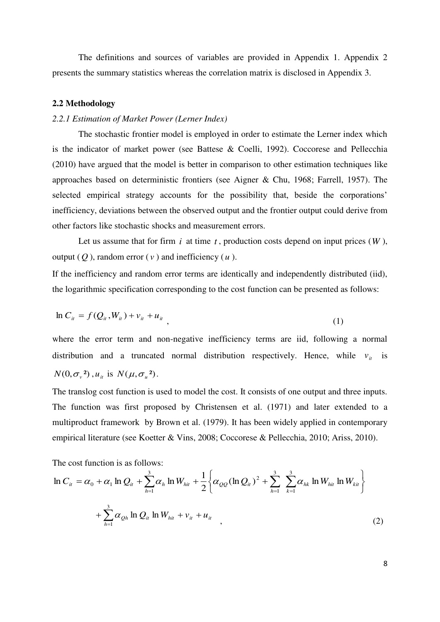The definitions and sources of variables are provided in Appendix 1. Appendix 2 presents the summary statistics whereas the correlation matrix is disclosed in Appendix 3.

#### **2.2 Methodology**

#### *2.2.1 Estimation of Market Power (Lerner Index)*

 The stochastic frontier model is employed in order to estimate the Lerner index which is the indicator of market power (see Battese & Coelli, 1992). Coccorese and Pellecchia (2010) have argued that the model is better in comparison to other estimation techniques like approaches based on deterministic frontiers (see Aigner & Chu, 1968; Farrell, 1957). The selected empirical strategy accounts for the possibility that, beside the corporations' inefficiency, deviations between the observed output and the frontier output could derive from other factors like stochastic shocks and measurement errors.

Let us assume that for firm  $i$  at time  $t$ , production costs depend on input prices  $(W)$ , output  $(Q)$ , random error  $(v)$  and inefficiency  $(u)$ .

If the inefficiency and random error terms are identically and independently distributed (iid), the logarithmic specification corresponding to the cost function can be presented as follows:

$$
\ln C_{it} = f(Q_{it}, W_{it}) + v_{it} + u_{it}, \qquad (1)
$$

where the error term and non-negative inefficiency terms are iid, following a normal distribution and a truncated normal distribution respectively. Hence, while  $v_i$  is  $N(0, \sigma_v^2)$ ,  $u_{it}$  is  $N(\mu, \sigma_u^2)$ .

The translog cost function is used to model the cost. It consists of one output and three inputs. The function was first proposed by Christensen et al. (1971) and later extended to a multiproduct framework by Brown et al. (1979). It has been widely applied in contemporary empirical literature (see Koetter & Vins, 2008; Coccorese & Pellecchia, 2010; Ariss, 2010).

The cost function is as follows:

$$
\ln C_{ii} = \alpha_0 + \alpha_1 \ln Q_{ii} + \sum_{h=1}^{3} \alpha_h \ln W_{hit} + \frac{1}{2} \left\{ \alpha_{QQ} (\ln Q_{ii})^2 + \sum_{h=1}^{3} \sum_{k=1}^{3} \alpha_{hk} \ln W_{hit} \ln W_{kit} \right\} + \sum_{h=1}^{3} \alpha_{Qh} \ln Q_{ii} \ln W_{hit} + v_{it} + u_{it} \qquad (2)
$$

8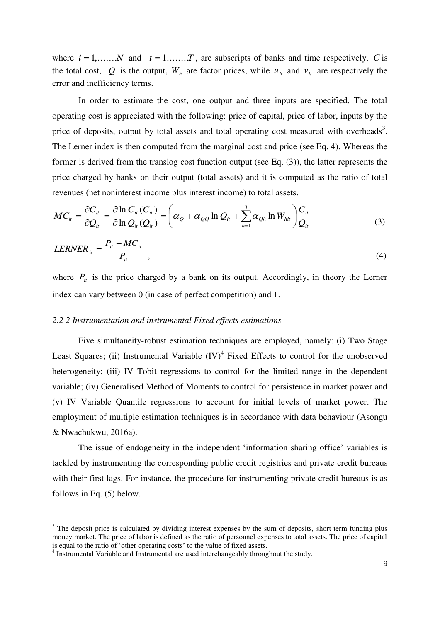where  $i = 1, \ldots, N$  and  $t = 1, \ldots, T$ , are subscripts of banks and time respectively. *C* is the total cost, Q is the output,  $W_h$  are factor prices, while  $u_i$  and  $v_i$  are respectively the error and inefficiency terms.

 In order to estimate the cost, one output and three inputs are specified. The total operating cost is appreciated with the following: price of capital, price of labor, inputs by the price of deposits, output by total assets and total operating cost measured with overheads<sup>3</sup>. The Lerner index is then computed from the marginal cost and price (see Eq. 4). Whereas the former is derived from the translog cost function output (see Eq. (3)), the latter represents the price charged by banks on their output (total assets) and it is computed as the ratio of total revenues (net noninterest income plus interest income) to total assets.

$$
MC_{it} = \frac{\partial C_{it}}{\partial Q_{it}} = \frac{\partial \ln C_{it}(C_{it})}{\partial \ln Q_{it}(Q_{it})} = \left(\alpha_Q + \alpha_{QQ} \ln Q_{it} + \sum_{h=1}^{3} \alpha_{Qh} \ln W_{hit}\right) \frac{C_{it}}{Q_{it}}
$$
(3)

$$
LERNER_{it} = \frac{P_{it} - MC_{it}}{P_{it}},\tag{4}
$$

where  $P_{it}$  is the price charged by a bank on its output. Accordingly, in theory the Lerner index can vary between 0 (in case of perfect competition) and 1.

#### *2.2 2 Instrumentation and instrumental Fixed effects estimations*

 Five simultaneity-robust estimation techniques are employed, namely: (i) Two Stage Least Squares; (ii) Instrumental Variable  $(IV)^4$  Fixed Effects to control for the unobserved heterogeneity; (iii) IV Tobit regressions to control for the limited range in the dependent variable; (iv) Generalised Method of Moments to control for persistence in market power and (v) IV Variable Quantile regressions to account for initial levels of market power. The employment of multiple estimation techniques is in accordance with data behaviour (Asongu & Nwachukwu, 2016a).

The issue of endogeneity in the independent 'information sharing office' variables is tackled by instrumenting the corresponding public credit registries and private credit bureaus with their first lags. For instance, the procedure for instrumenting private credit bureaus is as follows in Eq. (5) below.

 $\overline{a}$ 

 $3$  The deposit price is calculated by dividing interest expenses by the sum of deposits, short term funding plus money market. The price of labor is defined as the ratio of personnel expenses to total assets. The price of capital is equal to the ratio of 'other operating costs' to the value of fixed assets.

<sup>&</sup>lt;sup>4</sup> Instrumental Variable and Instrumental are used interchangeably throughout the study.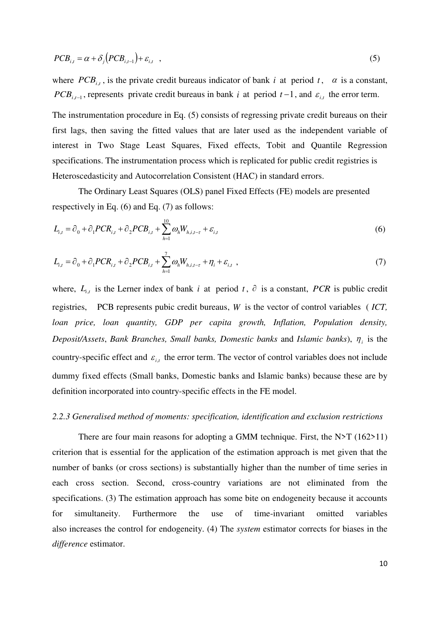$$
PCB_{i,t} = \alpha + \delta_j \left( PCB_{i,t-1} \right) + \varepsilon_{i,t} \quad , \tag{5}
$$

where  $PCB_{i,t}$ , is the private credit bureaus indicator of bank *i* at period *t*,  $\alpha$  is a constant, *PCB*<sub>*i*,*t*-1</sub>, represents private credit bureaus in bank *i* at period  $t-1$ , and  $\varepsilon$ <sub>*i*,*t*</sub> the error term.

The instrumentation procedure in Eq. (5) consists of regressing private credit bureaus on their first lags, then saving the fitted values that are later used as the independent variable of interest in Two Stage Least Squares, Fixed effects, Tobit and Quantile Regression specifications. The instrumentation process which is replicated for public credit registries is Heteroscedasticity and Autocorrelation Consistent (HAC) in standard errors.

 The Ordinary Least Squares (OLS) panel Fixed Effects (FE) models are presented respectively in Eq. (6) and Eq. (7) as follows:

$$
L_{i,t} = \partial_0 + \partial_1 PCR_{i,t} + \partial_2 PCB_{i,t} + \sum_{h=1}^{10} \omega_h W_{h,i,t-\tau} + \varepsilon_{i,t}
$$
 (6)

$$
L_{i,t} = \partial_0 + \partial_1 PCR_{i,t} + \partial_2 PCB_{i,t} + \sum_{h=1}^{7} \omega_h W_{h,i,t-\tau} + \eta_i + \varepsilon_{i,t} , \qquad (7)
$$

where,  $L_{i,t}$  is the Lerner index of bank *i* at period *t*,  $\partial$  is a constant, *PCR* is public credit registries, PCB represents pubic credit bureaus, *W* is the vector of control variables ( *ICT, loan price, loan quantity, GDP per capita growth, Inflation, Population density, Deposit/Assets, Bank Branches, Small banks, Domestic banks and <i>Islamic banks*),  $\eta_i$  is the country-specific effect and  $\varepsilon_{i,t}$  the error term. The vector of control variables does not include dummy fixed effects (Small banks, Domestic banks and Islamic banks) because these are by definition incorporated into country-specific effects in the FE model.

#### *2.2.3 Generalised method of moments: specification, identification and exclusion restrictions*

There are four main reasons for adopting a GMM technique. First, the N>T (162>11) criterion that is essential for the application of the estimation approach is met given that the number of banks (or cross sections) is substantially higher than the number of time series in each cross section. Second, cross-country variations are not eliminated from the specifications. (3) The estimation approach has some bite on endogeneity because it accounts for simultaneity. Furthermore the use of time-invariant omitted variables also increases the control for endogeneity. (4) The *system* estimator corrects for biases in the *difference* estimator.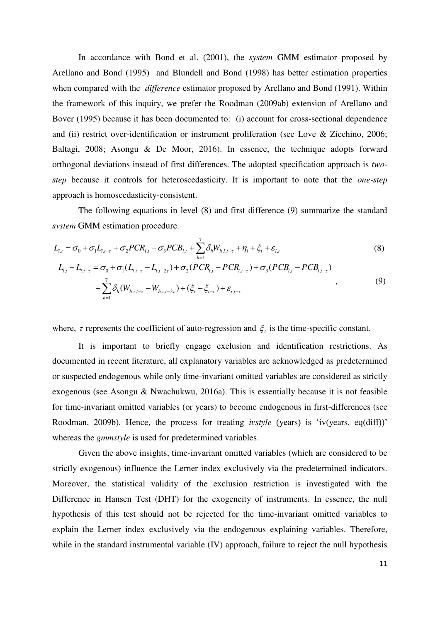In accordance with Bond et al. (2001), the *system* GMM estimator proposed by Arellano and Bond (1995) and Blundell and Bond (1998) has better estimation properties when compared with the *difference* estimator proposed by Arellano and Bond (1991). Within the framework of this inquiry, we prefer the Roodman (2009ab) extension of Arellano and Bover (1995) because it has been documented to: (i) account for cross-sectional dependence and (ii) restrict over-identification or instrument proliferation (see Love & Zicchino, 2006; Baltagi, 2008; Asongu & De Moor, 2016). In essence, the technique adopts forward orthogonal deviations instead of first differences. The adopted specification approach is *twostep* because it controls for heteroscedasticity. It is important to note that the *one-step* approach is homoscedasticity-consistent.

The following equations in level (8) and first difference (9) summarize the standard *system* GMM estimation procedure.

$$
L_{i,t} = \sigma_0 + \sigma_1 L_{i,t-\tau} + \sigma_2 P C R_{i,t} + \sigma_3 P C B_{i,t} + \sum_{h=1}^7 \delta_h W_{h,i,t-\tau} + \eta_i + \xi_t + \varepsilon_{i,t}
$$
\n
$$
L_{i,t} - L_{i,t-\tau} = \sigma_0 + \sigma_1 (L_{i,t-\tau} - L_{i,t-2\tau}) + \sigma_2 (P C R_{i,t} - P C R_{i,t-\tau}) + \sigma_3 (P C B_{i,t} - P C B_{i,t-\tau}) + \sum_{h=1}^7 \delta_h (W_{h,i,t-\tau} - W_{h,i,t-2\tau}) + (\xi_t - \xi_{t-\tau}) + \varepsilon_{i,t-\tau}
$$
\n(9)

where,  $\tau$  represents the coefficient of auto-regression and  $\xi$ , is the time-specific constant.

 It is important to briefly engage exclusion and identification restrictions. As documented in recent literature, all explanatory variables are acknowledged as predetermined or suspected endogenous while only time-invariant omitted variables are considered as strictly exogenous (see Asongu & Nwachukwu, 2016a). This is essentially because it is not feasible for time-invariant omitted variables (or years) to become endogenous in first-differences (see Roodman, 2009b). Hence, the process for treating *ivstyle* (years) is 'iv(years, eq(diff))' whereas the *gmmstyle* is used for predetermined variables.

 Given the above insights, time-invariant omitted variables (which are considered to be strictly exogenous) influence the Lerner index exclusively via the predetermined indicators. Moreover, the statistical validity of the exclusion restriction is investigated with the Difference in Hansen Test (DHT) for the exogeneity of instruments. In essence, the null hypothesis of this test should not be rejected for the time-invariant omitted variables to explain the Lerner index exclusively via the endogenous explaining variables. Therefore, while in the standard instrumental variable (IV) approach, failure to reject the null hypothesis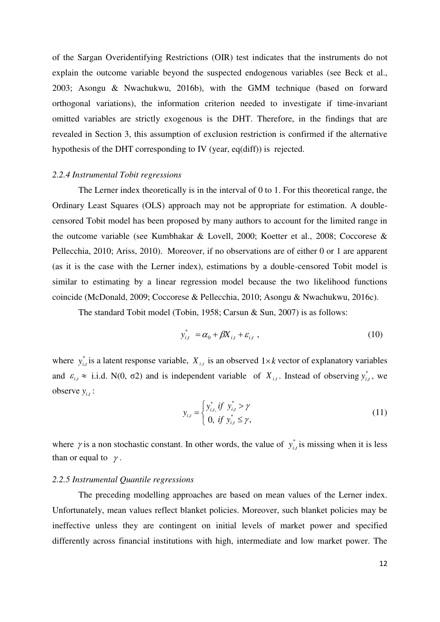of the Sargan Overidentifying Restrictions (OIR) test indicates that the instruments do not explain the outcome variable beyond the suspected endogenous variables (see Beck et al., 2003; Asongu & Nwachukwu, 2016b), with the GMM technique (based on forward orthogonal variations), the information criterion needed to investigate if time-invariant omitted variables are strictly exogenous is the DHT. Therefore, in the findings that are revealed in Section 3, this assumption of exclusion restriction is confirmed if the alternative hypothesis of the DHT corresponding to IV (year, eq(diff)) is rejected.

#### *2.2.4 Instrumental Tobit regressions*

 The Lerner index theoretically is in the interval of 0 to 1. For this theoretical range, the Ordinary Least Squares (OLS) approach may not be appropriate for estimation. A doublecensored Tobit model has been proposed by many authors to account for the limited range in the outcome variable (see Kumbhakar & Lovell, 2000; Koetter et al., 2008; Coccorese & Pellecchia, 2010; Ariss, 2010). Moreover, if no observations are of either 0 or 1 are apparent (as it is the case with the Lerner index), estimations by a double-censored Tobit model is similar to estimating by a linear regression model because the two likelihood functions coincide (McDonald, 2009; Coccorese & Pellecchia, 2010; Asongu & Nwachukwu, 2016c).

The standard Tobit model (Tobin, 1958; Carsun & Sun, 2007) is as follows:

$$
y_{i,t}^* = \alpha_0 + \beta X_{i,t} + \varepsilon_{i,t} ,
$$
 (10)

where  $y_{i,t}^*$  is a latent response variable,  $X_{i,t}$  is an observed  $1 \times k$  vector of explanatory variables and  $\varepsilon_{i,t} \approx$  i.i.d. N(0,  $\sigma$ 2) and is independent variable of  $X_{i,t}$ . Instead of observing  $y_{i,t}^*$ , we observe  $y_{i,t}$ :

$$
y_{i,t} = \begin{cases} y_{i,t}^*, & \text{if } y_{i,t}^* > \gamma \\ 0, & \text{if } y_{i,t}^* \le \gamma, \end{cases} \tag{11}
$$

where  $\gamma$  is a non stochastic constant. In other words, the value of  $y_{i,t}^*$  is missing when it is less than or equal to  $\gamma$ .

#### *2.2.5 Instrumental Quantile regressions*

 The preceding modelling approaches are based on mean values of the Lerner index. Unfortunately, mean values reflect blanket policies. Moreover, such blanket policies may be ineffective unless they are contingent on initial levels of market power and specified differently across financial institutions with high, intermediate and low market power. The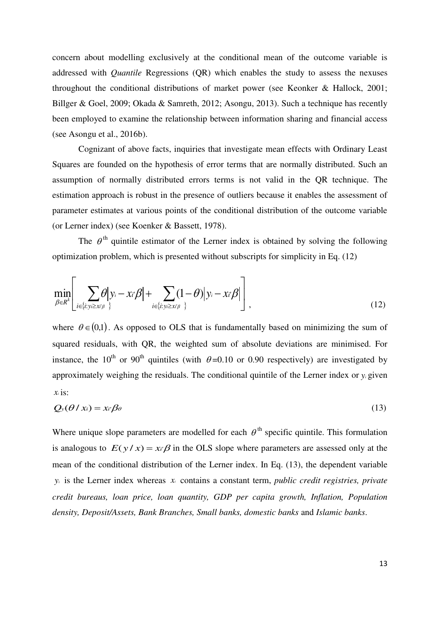concern about modelling exclusively at the conditional mean of the outcome variable is addressed with *Quantile* Regressions (QR) which enables the study to assess the nexuses throughout the conditional distributions of market power (see Keonker & Hallock, 2001; Billger & Goel, 2009; Okada & Samreth, 2012; Asongu, 2013). Such a technique has recently been employed to examine the relationship between information sharing and financial access (see Asongu et al., 2016b).

 Cognizant of above facts, inquiries that investigate mean effects with Ordinary Least Squares are founded on the hypothesis of error terms that are normally distributed. Such an assumption of normally distributed errors terms is not valid in the QR technique. The estimation approach is robust in the presence of outliers because it enables the assessment of parameter estimates at various points of the conditional distribution of the outcome variable (or Lerner index) (see Koenker & Bassett, 1978).

The  $\theta$ <sup>th</sup> quintile estimator of the Lerner index is obtained by solving the following optimization problem, which is presented without subscripts for simplicity in Eq. (12)

$$
\min_{\beta \in R^k} \left[ \sum_{i \in \{i: y_i \ge x \mid \beta\}} \theta \middle| y_i - x_{i'} \beta \middle| + \sum_{i \in \{i: y_i \ge x \mid \beta\}} (1 - \theta) \middle| y_i - x_{i'} \beta \right] \right],
$$
\n(12)

where  $\theta \in (0,1)$ . As opposed to OLS that is fundamentally based on minimizing the sum of squared residuals, with QR, the weighted sum of absolute deviations are minimised. For instance, the 10<sup>th</sup> or 90<sup>th</sup> quintiles (with  $\theta$ =0.10 or 0.90 respectively) are investigated by approximately weighing the residuals. The conditional quintile of the Lerner index or *y<sup>i</sup>* given  $x_i$  is:

$$
Q_{y}(\theta \mid x_{i}) = x_{i'}\beta_{\theta} \tag{13}
$$

Where unique slope parameters are modelled for each  $\theta^{\text{th}}$  specific quintile. This formulation is analogous to  $E(y/x) = x_i/\beta$  in the OLS slope where parameters are assessed only at the mean of the conditional distribution of the Lerner index. In Eq. (13), the dependent variable *yi* is the Lerner index whereas *x<sup>i</sup>* contains a constant term, *public credit registries, private credit bureaus, loan price, loan quantity, GDP per capita growth, Inflation, Population density, Deposit/Assets, Bank Branches, Small banks, domestic banks* and *Islamic banks*.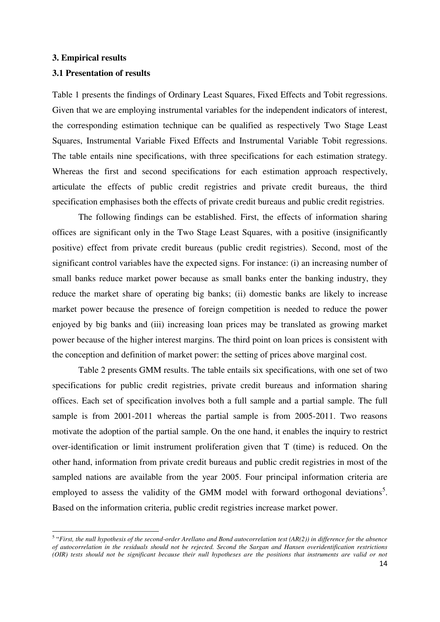#### **3. Empirical results**

 $\overline{a}$ 

#### **3.1 Presentation of results**

Table 1 presents the findings of Ordinary Least Squares, Fixed Effects and Tobit regressions. Given that we are employing instrumental variables for the independent indicators of interest, the corresponding estimation technique can be qualified as respectively Two Stage Least Squares, Instrumental Variable Fixed Effects and Instrumental Variable Tobit regressions. The table entails nine specifications, with three specifications for each estimation strategy. Whereas the first and second specifications for each estimation approach respectively, articulate the effects of public credit registries and private credit bureaus, the third specification emphasises both the effects of private credit bureaus and public credit registries.

 The following findings can be established. First, the effects of information sharing offices are significant only in the Two Stage Least Squares, with a positive (insignificantly positive) effect from private credit bureaus (public credit registries). Second, most of the significant control variables have the expected signs. For instance: (i) an increasing number of small banks reduce market power because as small banks enter the banking industry, they reduce the market share of operating big banks; (ii) domestic banks are likely to increase market power because the presence of foreign competition is needed to reduce the power enjoyed by big banks and (iii) increasing loan prices may be translated as growing market power because of the higher interest margins. The third point on loan prices is consistent with the conception and definition of market power: the setting of prices above marginal cost.

Table 2 presents GMM results. The table entails six specifications, with one set of two specifications for public credit registries, private credit bureaus and information sharing offices. Each set of specification involves both a full sample and a partial sample. The full sample is from 2001-2011 whereas the partial sample is from 2005-2011. Two reasons motivate the adoption of the partial sample. On the one hand, it enables the inquiry to restrict over-identification or limit instrument proliferation given that T (time) is reduced. On the other hand, information from private credit bureaus and public credit registries in most of the sampled nations are available from the year 2005. Four principal information criteria are employed to assess the validity of the GMM model with forward orthogonal deviations<sup>5</sup>. Based on the information criteria, public credit registries increase market power.

<sup>5</sup> "*First, the null hypothesis of the second-order Arellano and Bond autocorrelation test (AR(2)) in difference for the absence of autocorrelation in the residuals should not be rejected. Second the Sargan and Hansen overidentification restrictions (OIR) tests should not be significant because their null hypotheses are the positions that instruments are valid or not*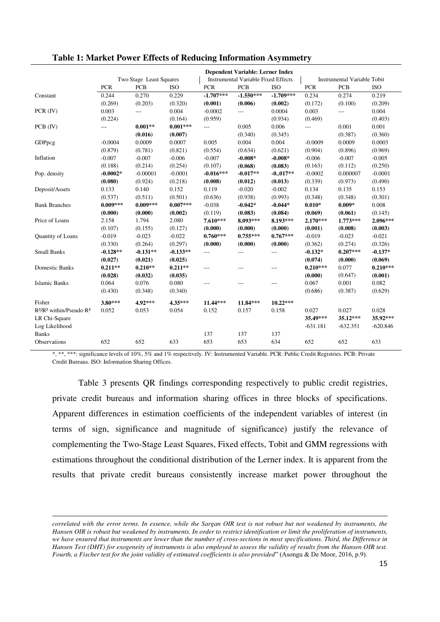|                               |            |                         |            |                | <b>Dependent Variable: Lerner Index</b>    |             |                          |                             |            |
|-------------------------------|------------|-------------------------|------------|----------------|--------------------------------------------|-------------|--------------------------|-----------------------------|------------|
|                               |            | Two Stage Least Squares |            |                | <b>Instrumental Variable Fixed Effects</b> |             |                          | Instrumental Variable Tobit |            |
|                               | <b>PCR</b> | <b>PCB</b>              | <b>ISO</b> | <b>PCR</b>     | <b>PCB</b>                                 | <b>ISO</b>  | <b>PCR</b>               | <b>PCB</b>                  | <b>ISO</b> |
| Constant                      | 0.244      | 0.270                   | 0.229      | $-1.707***$    | $-1.550***$                                | $-1.709***$ | 0.234                    | 0.274                       | 0.219      |
|                               | (0.269)    | (0.203)                 | (0.320)    | (0.001)        | (0.006)                                    | (0.002)     | (0.172)                  | (0.100)                     | (0.209)    |
| PCR (IV)                      | 0.003      | ---                     | 0.004      | $-0.0002$      | $---$                                      | 0.0004      | 0.003                    | $---$                       | 0.004      |
|                               | (0.224)    |                         | (0.164)    | (0.959)        |                                            | (0.934)     | (0.469)                  |                             | (0.403)    |
| PCB (IV)                      | ---        | $0.001**$               | $0.001***$ | $\overline{a}$ | 0.005                                      | 0.006       | $\overline{\phantom{a}}$ | 0.001                       | 0.001      |
|                               |            | (0.016)                 | (0.007)    |                | (0.340)                                    | (0.345)     |                          | (0.387)                     | (0.360)    |
| GDPpcg                        | $-0.0004$  | 0.0009                  | 0.0007     | 0.005          | 0.004                                      | 0.004       | $-0.0009$                | 0.0009                      | 0.0003     |
|                               | (0.879)    | (0.781)                 | (0.821)    | (0.554)        | (0.634)                                    | (0.621)     | (0.904)                  | (0.896)                     | (0.969)    |
| Inflation                     | $-0.007$   | $-0.007$                | $-0.006$   | $-0.007$       | $-0.008*$                                  | $-0.008*$   | $-0.006$                 | $-0.007$                    | $-0.005$   |
|                               | (0.188)    | (0.214)                 | (0.254)    | (0.107)        | (0.068)                                    | (0.083)     | (0.163)                  | (0.112)                     | (0.250)    |
| Pop. density                  | $-0.0002*$ | $-0.00001$              | $-0.0001$  | $-0.016***$    | $-0.017**$                                 | $-0.017**$  | $-0.0002$                | 0.000007                    | $-0.0001$  |
|                               | (0.080)    | (0.924)                 | (0.218)    | (0.008)        | (0.012)                                    | (0.013)     | (0.339)                  | (0.973)                     | (0.490)    |
| Deposit/Assets                | 0.133      | 0.140                   | 0.152      | 0.119          | $-0.020$                                   | $-0.002$    | 0.134                    | 0.135                       | 0.153      |
|                               | (0.537)    | (0.511)                 | (0.501)    | (0.636)        | (0.938)                                    | (0.993)     | (0.348)                  | (0.348)                     | (0.301)    |
| <b>Bank Branches</b>          | $0.009***$ | $0.009***$              | $0.007***$ | $-0.038$       | $-0.042*$                                  | $-0.044*$   | $0.010*$                 | $0.009*$                    | 0.008      |
|                               | (0.000)    | (0.000)                 | (0.002)    | (0.119)        | (0.083)                                    | (0.084)     | (0.069)                  | (0.061)                     | (0.145)    |
| Price of Loans                | 2.158      | 1.794                   | 2.080      | $7.610***$     | 8.093***                                   | 8.193***    | $2.170***$               | $1.773***$                  | 2.096***   |
|                               | (0.107)    | (0.155)                 | (0.127)    | (0.000)        | (0.000)                                    | (0.000)     | (0.001)                  | (0.008)                     | (0.003)    |
| Quantity of Loans             | $-0.019$   | $-0.023$                | $-0.022$   | $0.760***$     | $0.755***$                                 | $0.767***$  | $-0.019$                 | $-0.023$                    | $-0.021$   |
|                               | (0.330)    | (0.264)                 | (0.297)    | (0.000)        | (0.000)                                    | (0.000)     | (0.362)                  | (0.274)                     | (0.326)    |
| <b>Small Banks</b>            | $-0.128**$ | $-0.131**$              | $-0.133**$ | $---$          | ---                                        | ---         | $-0.132*$                | $0.207***$                  | $-0.137*$  |
|                               | (0.027)    | (0.021)                 | (0.025)    |                |                                            |             | (0.074)                  | (0.000)                     | (0.069)    |
| Domestic Banks                | $0.211**$  | $0.210**$               | $0.211**$  | $\overline{a}$ | ---                                        | $---$       | $0.210***$               | 0.077                       | $0.210***$ |
|                               | (0.028)    | (0.032)                 | (0.035)    |                |                                            |             | (0.000)                  | (0.647)                     | (0.001)    |
| <b>Islamic Banks</b>          | 0.064      | 0.076                   | 0.080      | $---$          | ---                                        | ---         | 0.067                    | 0.001                       | 0.082      |
|                               | (0.430)    | (0.348)                 | (0.340)    |                |                                            |             | (0.686)                  | (0.387)                     | (0.629)    |
| Fisher                        | 3.80***    | 4.92***                 | $4.35***$  | 11.44***       | 11.84***                                   | $10.22***$  |                          |                             |            |
| $R^2/R^2$ within/Pseudo $R^2$ | 0.052      | 0.053                   | 0.054      | 0.152          | 0.157                                      | 0.158       | 0.027                    | 0.027                       | 0.028      |
| LR Chi-Square                 |            |                         |            |                |                                            |             | 35.49***                 | 35.12***                    | 35.92***   |
| Log Likelihood                |            |                         |            |                |                                            |             | $-631.181$               | $-632.351$                  | $-620.846$ |
| <b>Banks</b>                  |            |                         |            | 137            | 137                                        | 137         |                          |                             |            |
| Observations                  | 652        | 652                     | 633        | 653            | 653                                        | 634         | 652                      | 652                         | 633        |
|                               |            |                         |            |                |                                            |             |                          |                             |            |

#### **Table 1: Market Power Effects of Reducing Information Asymmetry**

\*, \*\*, \*\*\*: significance levels of 10%, 5% and 1% respectively. IV: Instrumented Variable. PCR: Public Credit Registries. PCB: Private Credit Bureaus. ISO: Information Sharing Offices.

Table 3 presents QR findings corresponding respectively to public credit registries, private credit bureaus and information sharing offices in three blocks of specifications. Apparent differences in estimation coefficients of the independent variables of interest (in terms of sign, significance and magnitude of significance) justify the relevance of complementing the Two-Stage Least Squares, Fixed effects, Tobit and GMM regressions with estimations throughout the conditional distribution of the Lerner index. It is apparent from the results that private credit bureaus consistently increase market power throughout the

 $\overline{a}$ 

*correlated with the error terms. In essence, while the Sargan OIR test is not robust but not weakened by instruments, the Hansen OIR is robust but weakened by instruments. In order to restrict identification or limit the proliferation of instruments, we have ensured that instruments are lower than the number of cross-sections in most specifications. Third, the Difference in Hansen Test (DHT) for exogeneity of instruments is also employed to assess the validity of results from the Hansen OIR test. Fourth, a Fischer test for the joint validity of estimated coefficients is also provided*" (Asongu & De Moor, 2016, p.9).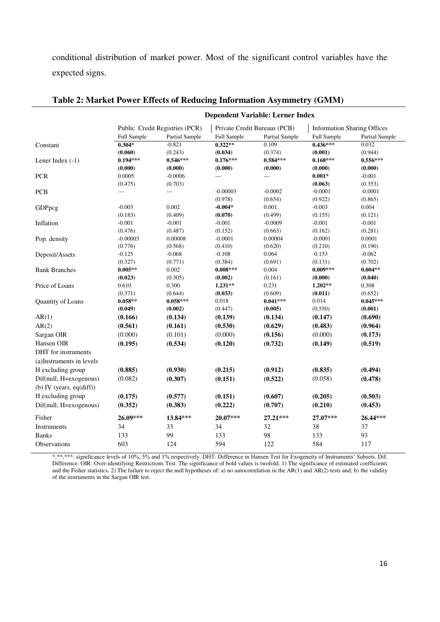conditional distribution of market power. Most of the significant control variables have the expected signs.

|                             |                    |                                |                          | <b>Dependent Variable: Lerner Index</b> |                                    |                |
|-----------------------------|--------------------|--------------------------------|--------------------------|-----------------------------------------|------------------------------------|----------------|
|                             |                    | Public Credit Registries (PCR) |                          | Private Credit Bureaus (PCB)            | <b>Information Sharing Offices</b> |                |
|                             | <b>Full Sample</b> | <b>Partial Sample</b>          | Full Sample              | Partial Sample                          | Full Sample                        | Partial Sample |
| Constant                    | $0.304*$           | $-0.821$                       | $0.322**$                | 0.109                                   | $0.436***$                         | 0.032          |
|                             | (0.060)            | (0.243)                        | (0.034)                  | (0.374)                                 | (0.001)                            | (0.944)        |
| Lener Index (-1)            | $0.194***$         | $0.546***$                     | $0.176***$               | $0.584***$                              | $0.168***$                         | $0.556***$     |
|                             | (0.000)            | (0.000)                        | (0.000)                  | (0.000)                                 | (0.000)                            | (0.000)        |
| <b>PCR</b>                  | 0.0005             | $-0.0006$                      | $\overline{\phantom{a}}$ | $---$                                   | $0.001*$                           | $-0.001$       |
|                             | (0.475)            | (0.703)                        |                          |                                         | (0.063)                            | (0.353)        |
| <b>PCB</b>                  | ---                | ---                            | $-0.00003$               | $-0.0002$                               | $-0.0001$                          | $-0.0001$      |
|                             |                    |                                | (0.978)                  | (0.654)                                 | (0.922)                            | (0.865)        |
| GDPpcg                      | $-0.003$           | 0.002                          | $-0.004*$                | 0.001                                   | $-0.003$                           | 0.004          |
|                             | (0.183)            | (0.409)                        | (0.070)                  | (0.499)                                 | (0.155)                            | (0.121)        |
| Inflation                   | $-0.001$           | $-0.001$                       | $-0.001$                 | $-0.0009$                               | $-0.001$                           | $-0.001$       |
|                             | (0.476)            | (0.487)                        | (0.152)                  | (0.663)                                 | (0.162)                            | (0.281)        |
| Pop. density                | $-0.00003$         | 0.00008                        | $-0.0001$                | 0.00004                                 | $-0.0001$                          | 0.0001         |
|                             | (0.776)            | (0.568)                        | (0.410)                  | (0.620)                                 | (0.210)                            | (0.190)        |
| Deposit/Assets              | $-0.125$           | $-0.068$                       | $-0.108$                 | 0.064                                   | $-0.153$                           | $-0.062$       |
|                             | (0.327)            | (0.771)                        | (0.384)                  | (0.691)                                 | (0.131)                            | (0.702)        |
| <b>Bank Branches</b>        | $0.005**$          | 0.002                          | $0.008***$               | 0.004                                   | $0.009***$                         | $0.004**$      |
|                             | (0.023)            | (0.305)                        | (0.002)                  | (0.161)                                 | (0.000)                            | (0.040)        |
| Price of Loans              | 0.610              | 0.300                          | $1.231**$                | 0.231                                   | $1.202**$                          | 0.308          |
|                             | (0.371)            | (0.644)                        | (0.033)                  | (0.609)                                 | (0.011)                            | (0.652)        |
| Quantity of Loans           | $0.058**$          | $0.058***$                     | 0.018                    | $0.041***$                              | 0.014                              | $0.045***$     |
|                             | (0.049)            | (0.002)                        | (0.447)                  | (0.005)                                 | (0.550)                            | (0.001)        |
| AR(1)                       | (0.166)            | (0.134)                        | (0.139)                  | (0.134)                                 | (0.147)                            | (0.690)        |
| AR(2)                       | (0.561)            | (0.161)                        | (0.530)                  | (0.629)                                 | (0.483)                            | (0.964)        |
| Sargan OIR                  | (0.000)            | (0.101)                        | (0.000)                  | (0.156)                                 | (0.000)                            | (0.173)        |
| Hansen OIR                  | (0.195)            | (0.534)                        | (0.120)                  | (0.732)                                 | (0.149)                            | (0.519)        |
| DHT for instruments         |                    |                                |                          |                                         |                                    |                |
| (a)Instruments in levels    |                    |                                |                          |                                         |                                    |                |
| H excluding group           | (0.885)            | (0.930)                        | (0.215)                  | (0.912)                                 | (0.835)                            | (0.494)        |
| Dif(null, H=exogenous)      | (0.082)            | (0.307)                        | (0.151)                  | (0.522)                                 | (0.058)                            | (0.478)        |
|                             |                    |                                |                          |                                         |                                    |                |
| (b) IV (years, $eq(diff)$ ) |                    |                                |                          |                                         |                                    |                |
| H excluding group           | (0.175)            | (0.577)                        | (0.151)                  | (0.607)                                 | (0.205)                            | (0.503)        |
| Dif(null, H=exogenous)      | (0.352)            | (0.383)                        | (0.222)                  | (0.707)                                 | (0.210)                            | (0.453)        |
| Fisher                      | $26.09***$         | 13.84***                       | $20.07***$               | 27.21***                                | 27.07***                           | 26.44***       |
| Instruments                 | 34                 | 33                             | 34                       | 32                                      | 38                                 | 37             |
| <b>Banks</b>                | 133                | 99                             | 133                      | 98                                      | 133                                | 93             |
| <b>Observations</b>         | 603                | 124                            | 594                      | 122                                     | 584                                | 117            |
|                             |                    |                                |                          |                                         |                                    |                |

| Table 2: Market Power Effects of Reducing Information Asymmetry (GMM) |  |  |  |
|-----------------------------------------------------------------------|--|--|--|
|                                                                       |  |  |  |

\*,\*\*,\*\*\*: significance levels of 10%, 5% and 1% respectively. DHT: Difference in Hansen Test for Exogeneity of Instruments' Subsets. Dif: Difference. OIR: Over-identifying Restrictions Test. The significance of bold values is twofold. 1) The significance of estimated coefficients and the Fisher statistics. 2) The failure to reject the null hypotheses of: a) no autocorrelation in the AR(1) and AR(2) tests and; b) the validity of the instruments in the Sargan OIR test.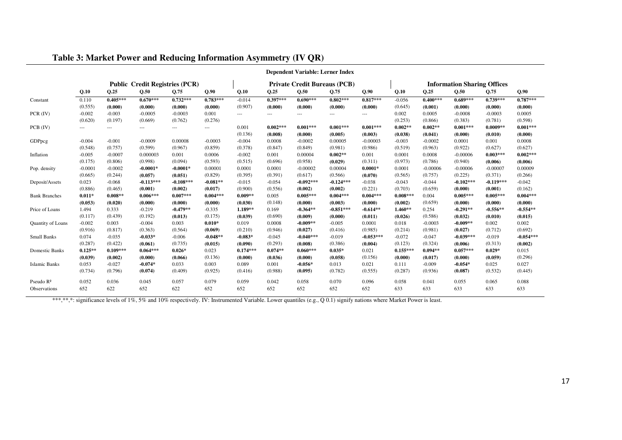|                       |           |            |                                       |             |            |               |            | <b>Dependent Variable: Lerner Index</b> |             |             |                                    |            |             |             |             |  |
|-----------------------|-----------|------------|---------------------------------------|-------------|------------|---------------|------------|-----------------------------------------|-------------|-------------|------------------------------------|------------|-------------|-------------|-------------|--|
|                       |           |            | <b>Public Credit Registries (PCR)</b> |             |            |               |            | <b>Private Credit Bureaus (PCB)</b>     |             |             | <b>Information Sharing Offices</b> |            |             |             |             |  |
|                       | O.10      | Q.25       | Q.50                                  | Q.75        | Q.90       | Q.10          | Q.25       | Q.50                                    | Q.75        | Q.90        | Q.10                               | Q.25       | Q.50        | O.75        | Q.90        |  |
| Constant              | 0.110     | $0.405***$ | $0.670***$                            | $0.732***$  | $0.783***$ | $-0.014$      | $0.397***$ | $0.690***$                              | $0.802***$  | $0.817***$  | $-0.056$                           | $0.400***$ | $0.689***$  | $0.739***$  | $0.787***$  |  |
|                       | (0.555)   | (0.000)    | (0.000)                               | (0.000)     | (0.000)    | (0.907)       | (0.000)    | (0.000)                                 | (0.000)     | (0.000)     | (0.645)                            | (0.001)    | (0.000)     | (0.000)     | (0.000)     |  |
| PCR (IV)              | $-0.002$  | $-0.003$   | $-0.0005$                             | $-0.0003$   | 0.001      | $\frac{1}{2}$ | $\cdots$   | $---$                                   | $---$       | $\cdots$    | 0.002                              | 0.0005     | $-0.0008$   | $-0.0003$   | 0.0005      |  |
|                       | (0.620)   | (0.197)    | (0.669)                               | (0.762)     | (0.276)    |               |            |                                         |             |             | (0.253)                            | (0.866)    | (0.383)     | (0.781)     | (0.598)     |  |
| $PCB$ (IV)            | $\cdots$  | ---        | $\cdots$                              | ---         | $\cdots$   | 0.001         | $0.002***$ | $0.001***$                              | $0.001***$  | $0.001***$  | $0.002**$                          | $0.002**$  | $0.001***$  | $0.0009**$  | $0.001***$  |  |
|                       |           |            |                                       |             |            | (0.136)       | (0.008)    | (0.000)                                 | (0.005)     | (0.003)     | (0.038)                            | (0.041)    | (0.000)     | (0.010)     | (0.000)     |  |
| GDPpcg                | $-0.004$  | $-0.001$   | $-0.0009$                             | 0.00008     | $-0.0003$  | $-0.004$      | 0.0008     | $-0.0002$                               | 0.00005     | $-0.00003$  | $-0.003$                           | $-0.0002$  | 0.0001      | 0.001       | 0.0008      |  |
|                       | (0.548)   | (0.757)    | (0.599)                               | (0.967)     | (0.859)    | (0.378)       | (0.847)    | (0.849)                                 | (0.981)     | (0.986)     | (0.519)                            | (0.963)    | (0.922)     | (0.627)     | (0.627)     |  |
| Inflation             | $-0.005$  | $-0.0007$  | 0.000003                              | 0.001       | 0.0006     | $-0.002$      | 0.001      | 0.00004                                 | $0.002**$   | 0.001       | 0.0001                             | 0.0008     | $-0.00006$  | $0.003***$  | $0.002***$  |  |
|                       | (0.175)   | (0.806)    | (0.998)                               | (0.094)     | (0.593)    | (0.515)       | (0.696)    | (0.958)                                 | (0.029)     | (0.311)     | (0.973)                            | (0.786)    | (0.940)     | (0.006)     | (0.006)     |  |
| Pop. density          | $-0.0001$ | $-0.0002$  | $-0.0001*$                            | $-0.0001*$  | 0.00001    | 0.0001        | 0.0001     | $-0.00002$                              | 0.00004     | $0.0001*$   | 0.0001                             | $-0.00006$ | $-0.00006$  | $-0.00007$  | 0.00009     |  |
|                       | (0.665)   | (0.244)    | (0.057)                               | (0.051)     | (0.829)    | (0.395)       | (0.391)    | (0.617)                                 | (0.566)     | (0.070)     | (0.565)                            | (0.757)    | (0.225)     | (0.371)     | (0.266)     |  |
| Deposit/Assets        | 0.023     | $-0.068$   | $-0.113***$                           | $-0.108***$ | $-0.081**$ | $-0.015$      | $-0.054$   | $-0.092***$                             | $-0.124***$ | $-0.038$    | $-0.043$                           | $-0.044$   | $-0.102***$ | $-0.119***$ | $-0.042$    |  |
|                       | (0.886)   | (0.465)    | (0.001)                               | (0.002)     | (0.017)    | (0.900)       | (0.556)    | (0.002)                                 | (0.002)     | (0.221)     | (0.703)                            | (0.659)    | (0.000)     | (0.001)     | (0.162)     |  |
| <b>Bank Branches</b>  | $0.011*$  | $0.008**$  | $0.006***$                            | $0.007***$  | $0.004***$ | $0.009**$     | 0.005      | $0.005***$                              | $0.004***$  | $0.004***$  | $0.008***$                         | 0.004      | $0.005***$  | $0.005***$  | $0.004***$  |  |
|                       | (0.053)   | (0.020)    | (0.000)                               | (0.000)     | (0.000)    | (0.030)       | (0.148)    | (0.000)                                 | (0.003)     | (0.000)     | (0.002)                            | (0.659)    | (0.000)     | (0.000)     | (0.000)     |  |
| Price of Loans        | 1.494     | 0.333      | $-0.219$                              | $-0.479**$  | $-0.335$   | $1.189**$     | 0.169      | $-0.364**$                              | $-0.851***$ | $-0.614**$  | $1.460**$                          | 0.254      | $-0.291**$  | $-0.556**$  | $-0.554**$  |  |
|                       | (0.117)   | (0.439)    | (0.192)                               | (0.013)     | (0.175)    | (0.039)       | (0.690)    | (0.009)                                 | (0.000)     | (0.011)     | (0.026)                            | (0.586)    | (0.032)     | (0.010)     | (0.015)     |  |
| Quantity of Loans     | $-0.002$  | 0.003      | $-0.004$                              | 0.003       | $0.010*$   | 0.019         | 0.0008     | $-0.009**$                              | $-0.005$    | 0.0001      | 0.018                              | $-0.0003$  | $-0.009**$  | 0.002       | 0.002       |  |
|                       | (0.916)   | (0.817)    | (0.363)                               | (0.564)     | (0.069)    | (0.210)       | (0.946)    | (0.027)                                 | (0.416)     | (0.985)     | (0.214)                            | (0.981)    | (0.027)     | (0.712)     | (0.692)     |  |
| <b>Small Banks</b>    | 0.074     | $-0.035$   | $-0.033*$                             | $-0.006$    | $-0.048**$ | $-0.083*$     | $-0.045$   | $-0.040***$                             | $-0.019$    | $-0.053***$ | $-0.072$                           | $-0.047$   | $-0.039***$ | $-0.019$    | $-0.054***$ |  |
|                       | (0.287)   | (0.422)    | (0.061)                               | (0.735)     | (0.015)    | (0.090)       | (0.293)    | (0.008)                                 | (0.386)     | (0.004)     | (0.123)                            | (0.324)    | (0.006)     | (0.313)     | (0.002)     |  |
| <b>Domestic Banks</b> | $0.125**$ | $0.109***$ | $0.064***$                            | $0.026*$    | 0.023      | $0.174***$    | $0.074**$  | $0.060***$                              | $0.035*$    | 0.021       | $0.155***$                         | $0.094**$  | $0.057***$  | $0.029*$    | 0.015       |  |
|                       | (0.039)   | (0.002)    | (0.000)                               | (0.066)     | (0.136)    | (0.000)       | (0.036)    | (0.000)                                 | (0.058)     | (0.156)     | (0.000)                            | (0.017)    | (0.000)     | (0.059)     | (0.296)     |  |
| <b>Islamic Banks</b>  | 0.053     | $-0.027$   | $-0.074*$                             | 0.033       | 0.003      | 0.089         | 0.001      | $-0.056*$                               | 0.013       | 0.021       | 0.111                              | $-0.009$   | $-0.054*$   | 0.025       | 0.027       |  |
|                       | (0.734)   | (0.796)    | (0.074)                               | (0.409)     | (0.925)    | (0.416)       | (0.988)    | (0.095)                                 | (0.782)     | (0.555)     | (0.287)                            | (0.936)    | (0.087)     | (0.532)     | (0.445)     |  |
| Pseudo R <sup>2</sup> | 0.052     | 0.036      | 0.045                                 | 0.057       | 0.079      | 0.059         | 0.042      | 0.058                                   | 0.070       | 0.096       | 0.058                              | 0.041      | 0.055       | 0.065       | 0.088       |  |
| Observations          | 652       | 622        | 652                                   | 622         | 652        | 652           | 652        | 652                                     | 652         | 652         | 633                                | 633        | 633         | 633         | 633         |  |

## **Table 3: Market Power and Reducing Information Asymmetry (IV QR)**

\*\*\*,\*: significance levels of 1%, 5% and 10% respectively. IV: Instrumented Variable. Lower quantiles (e.g., Q 0.1) signify nations where Market Power is least.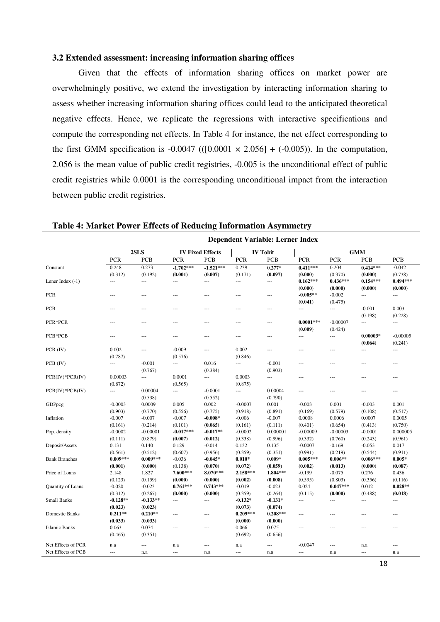#### **3.2 Extended assessment: increasing information sharing offices**

 Given that the effects of information sharing offices on market power are overwhelmingly positive, we extend the investigation by interacting information sharing to assess whether increasing information sharing offices could lead to the anticipated theoretical negative effects. Hence, we replicate the regressions with interactive specifications and compute the corresponding net effects. In Table 4 for instance, the net effect corresponding to the first GMM specification is  $-0.0047$  (([0.0001  $\times$  2.056] + ( $-0.005$ )). In the computation, 2.056 is the mean value of public credit registries, -0.005 is the unconditional effect of public credit registries while 0.0001 is the corresponding unconditional impact from the interaction between public credit registries.

|                       |                |                |                |                          |                | <b>Dependent Variable: Lerner Index</b> |                |                |                |                |
|-----------------------|----------------|----------------|----------------|--------------------------|----------------|-----------------------------------------|----------------|----------------|----------------|----------------|
|                       |                | 2SLS           |                | <b>IV Fixed Effects</b>  |                | <b>IV Tobit</b>                         |                |                | <b>GMM</b>     |                |
|                       | <b>PCR</b>     | PCB            | <b>PCR</b>     | <b>PCB</b>               | <b>PCR</b>     | <b>PCB</b>                              | <b>PCR</b>     | <b>PCR</b>     | <b>PCB</b>     | <b>PCB</b>     |
| Constant              | 0.248          | 0.273          | $-1.702***$    | $-1.521***$              | 0.239          | $0.277*$                                | $0.411***$     | 0.204          | $0.414***$     | $-0.042$       |
|                       | (0.312)        | (0.192)        | (0.001)        | (0.007)                  | (0.171)        | (0.097)                                 | (0.000)        | (0.370)        | (0.000)        | (0.738)        |
| Lener Index $(-1)$    | $\overline{a}$ | $\overline{a}$ | ---            | $\overline{a}$           | ---            | ---                                     | $0.162***$     | $0.436***$     | $0.154***$     | $0.494***$     |
|                       |                |                |                |                          |                |                                         | (0.000)        | (0.000)        | (0.000)        | (0.000)        |
| <b>PCR</b>            | $\sim$ $\sim$  | $\sim$         | ---            | ---                      | $\overline{a}$ | $-$                                     | $-0.005**$     | $-0.002$       | ---            | ---            |
|                       |                |                |                |                          |                |                                         | (0.041)        | (0.475)        |                |                |
| <b>PCB</b>            | $\sim$         | $---$          | $---$          | $\sim$                   | ---            | $---$                                   | ---            | $\overline{a}$ | $-0.001$       | 0.003          |
|                       |                |                |                |                          |                |                                         |                |                | (0.198)        | (0.228)        |
| PCR*PCR               | $---$          | $---$          | $---$          | $---$                    | $---$          | $---$                                   | $0.0001***$    | $-0.00007$     | $\overline{a}$ | ---            |
|                       |                |                |                |                          |                |                                         | (0.009)        | (0.424)        |                |                |
| PCB*PCB               | $\sim$ $\sim$  | $---$          | ---            | $\overline{a}$           | ---            | $---$                                   | ---            | $\cdots$       | $0.00003*$     | $-0.00005$     |
|                       |                |                |                |                          |                |                                         |                |                | (0.064)        | (0.241)        |
| PCR (IV)              | 0.002          | $\sim$         | $-0.009$       | $\sim$                   | 0.002          | $\sim$                                  | $\overline{a}$ | $---$          | $\overline{a}$ | ---            |
|                       | (0.787)        |                | (0.576)        |                          | (0.846)        |                                         |                |                |                |                |
| PCB (IV)              | $\overline{a}$ | $-0.001$       | $\overline{a}$ | 0.016                    | $\overline{a}$ | $-0.001$                                | $\overline{a}$ | $\overline{a}$ | $\overline{a}$ | ---            |
|                       |                | (0.767)        |                | (0.384)                  |                | (0.903)                                 |                |                |                |                |
| $PCR(IV)*PCR(IV)$     | 0.00003        | $\cdots$       | 0.0001         | $\cdots$                 | 0.0003         | $\cdots$                                | ---            | ---            | ---            | $\overline{a}$ |
|                       | (0.872)        |                | (0.565)        |                          | (0.875)        |                                         |                |                |                |                |
| $PCB(IV)*PCB(IV)$     | ---            | 0.00004        | ---            | $-0.0001$                | ---            | 0.00004                                 | ---            | $\overline{a}$ | $\overline{a}$ | ---            |
|                       |                | (0.538)        |                | (0.552)                  |                | (0.790)                                 |                |                |                |                |
| GDPpcg                | $-0.0003$      | 0.0009         | 0.005          | 0.002                    | $-0.0007$      | 0.001                                   | $-0.003$       | 0.001          | $-0.003$       | 0.001          |
|                       | (0.903)        | (0.770)        | (0.556)        | (0.775)                  | (0.918)        | (0.891)                                 | (0.169)        | (0.579)        | (0.108)        | (0.517)        |
| Inflation             | $-0.007$       | $-0.007$       | $-0.007$       | $-0.008*$                | $-0.006$       | $-0.007$                                | 0.0008         | 0.0006         | 0.0007         | 0.0005         |
|                       | (0.161)        | (0.214)        | (0.101)        | (0.065)                  | (0.161)        | (0.111)                                 | (0.401)        | (0.654)        | (0.413)        | (0.750)        |
| Pop. density          | $-0.0002$      | $-0.00001$     | $-0.017***$    | $-0.017**$               | $-0.0002$      | 0.000001                                | $-0.00009$     | $-0.00003$     | $-0.0001$      | 0.000005       |
|                       | (0.111)        | (0.879)        | (0.007)        | (0.012)                  | (0.338)        | (0.996)                                 | (0.332)        | (0.760)        | (0.243)        | (0.961)        |
| Deposit/Assets        | 0.131          | 0.140          | 0.129          | $-0.014$                 | 0.132          | 0.135                                   | $-0.0007$      | $-0.169$       | $-0.053$       | 0.017          |
|                       | (0.561)        | (0.512)        | (0.607)        | (0.956)                  | (0.359)        | (0.351)                                 | (0.991)        | (0.219)        | (0.544)        | (0.911)        |
| <b>Bank Branches</b>  | $0.009***$     | $0.009***$     | $-0.036$       | $-0.045*$                | $0.010*$       | $0.009*$                                | $0.005***$     | $0.006**$      | $0.006***$     | $0.005*$       |
|                       | (0.001)        | (0.000)        | (0.138)        | (0.070)                  | (0.072)        | (0.059)                                 | (0.002)        | (0.013)        | (0.000)        | (0.087)        |
| Price of Loans        | 2.148          | 1.827          | 7.600***       | $8.070***$               | $2.158***$     | $1.804***$                              | $-0.199$       | $-0.075$       | 0.276          | 0.436          |
|                       | (0.123)        | (0.159)        | (0.000)        | (0.000)                  | (0.002)        | (0.008)                                 | (0.595)        | (0.803)        | (0.356)        | (0.116)        |
| Quantity of Loans     | $-0.020$       | $-0.023$       | $0.761***$     | $0.743***$               | $-0.019$       | $-0.023$                                | 0.024          | $0.047***$     | 0.012          | $0.028**$      |
|                       | (0.312)        | (0.267)        | (0.000)        | (0.000)                  | (0.359)        | (0.264)                                 | (0.115)        | (0.000)        | (0.488)        | (0.018)        |
| Small Banks           | $-0.128**$     | $-0.133**$     | $\overline{a}$ | $\sim$ $\sim$ $\sim$     | $-0.132*$      | $-0.131*$                               | $\overline{a}$ | $\overline{a}$ | $- - -$        | $\overline{a}$ |
|                       | (0.023)        | (0.023)        |                |                          | (0.073)        | (0.074)                                 |                |                |                |                |
| <b>Domestic Banks</b> | $0.211**$      | $0.210**$      | $\overline{a}$ | $\cdots$                 | $0.209***$     | $0.208***$                              | $\overline{a}$ | ---            | $\cdots$       | ---            |
|                       | (0.033)        | (0.033)        |                |                          | (0.000)        | (0.000)                                 |                |                |                |                |
| <b>Islamic Banks</b>  | 0.063          | 0.074          | $\overline{a}$ | $\sim$                   | 0.066          | 0.075                                   | ---            | $\overline{a}$ | $\frac{1}{2}$  | $\overline{a}$ |
|                       | (0.465)        | (0.351)        |                |                          | (0.692)        | (0.656)                                 |                |                |                |                |
|                       |                |                |                |                          |                |                                         |                |                |                |                |
| Net Effects of PCR    | n.a            | $\cdots$       | n.a            | $\overline{\phantom{a}}$ | n.a            | $\scriptstyle\cdots$                    | $-0.0047$      | ---            | n.a            | ---            |
| Net Effects of PCB    | $\sim$ $\sim$  | n.a            | $\sim$         | n.a                      | $\overline{a}$ | n.a                                     | $\overline{a}$ | n.a            | $\frac{1}{2}$  | n.a            |

**Table 4: Market Power Effects of Reducing Information Asymmetry**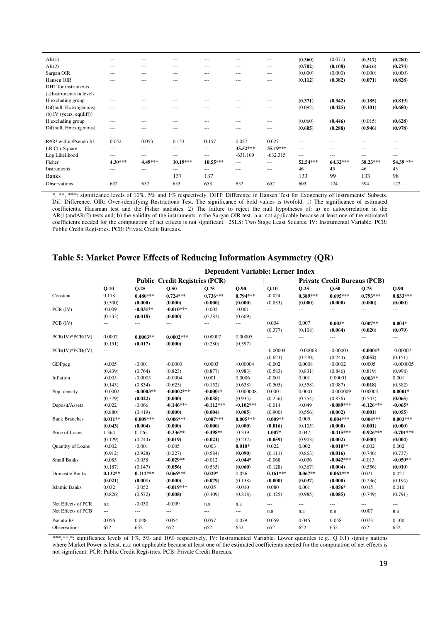|                               |           |         |            |            |            |            | (0.360)  | (0.071)    | (0.317)    | (0.280)   |
|-------------------------------|-----------|---------|------------|------------|------------|------------|----------|------------|------------|-----------|
| AR(1)                         | $- - -$   | $- - -$ | ---        | $---$      | $- - -$    | $---$      |          |            |            |           |
| AR(2)                         | $- - -$   | $- - -$ | ---        | $---$      | $\cdots$   | $- - -$    | (0.702)  | (0.108)    | (0.616)    | (0.274)   |
| Sargan OIR                    | $- - -$   | $---$   | ---        | $---$      | $\cdots$   | $- - -$    | (0.000)  | (0.000)    | (0.000)    | (0.000)   |
| Hansen OIR                    | $---$     | $---$   | ---        | $---$      | ---        | $---$      | (0.112)  | (0.382)    | (0.071)    | (0.828)   |
| DHT for instruments           |           |         |            |            |            |            |          |            |            |           |
| (a)Instruments in levels      |           |         |            |            |            |            |          |            |            |           |
| H excluding group             | $- - -$   |         | ---        | ---        |            | ---        | (0.371)  | (0.342)    | (0.185)    | (0.819)   |
| Dif(null, H=exogenous)        | $- - -$   | $- - -$ | ---        | $---$      | $- - -$    | $- - -$    | (0.092)  | (0.425)    | (0.101)    | (0.680)   |
| (b) IV (years, $eq(diff)$ )   |           |         |            |            |            |            |          |            |            |           |
| H excluding group             | $---$     | $- - -$ | ---        | $---$      | $- - -$    | ---        | (0.060)  | (0.446)    | (0.015)    | (0.628)   |
| Dif(null, H=exogenous)        | $- - -$   | ---     | ---        | $---$      | ---        | $---$      | (0.605)  | (0.288)    | (0.946)    | (0.978)   |
| $R^2/R^2$ within/Pseudo $R^2$ | 0.052     | 0.053   | 0.153      | 0.157      | 0.027      | 0.027      | ---      | ---        | ---        | $\cdots$  |
| LR Chi-Square                 | $---$     | $---$   | ---        | $---$      | $35.52***$ | 35.19***   | ---      | ---        | $---$      | $---$     |
| Log Likelihood                | $- - -$   | $---$   | $---$      | $---$      | $-631.169$ | $-632.315$ | $---$    | ---        | $---$      | $---$     |
| Fisher                        | $4.30***$ | 4.49*** | $10.19***$ | $10.55***$ | $---$      | $- - -$    | 52.54*** | $64.32***$ | $38.23***$ | 54.39 *** |
| Instruments                   | $- - -$   | ---     | ---        | $---$      | ---        | ---        | 46       | 45         | 46         | 43        |
| <b>Banks</b>                  |           |         | 137        | 137        |            |            | 133      | 99         | 133        | 98        |
| Observations                  | 652       | 652     | 653        | 653        | 652        | 652        | 603      | 124        | 594        | 122       |
|                               |           |         |            |            |            |            |          |            |            |           |

\*, \*\*, \*\*\*: significance levels of 10%, 5% and 1% respectively. DHT: Difference in Hansen Test for Exogeneity of Instruments' Subsets. Dif: Difference. OIR: Over-identifying Restrictions Test. The significance of bold values is twofold. 1) The significance of estimated coefficients, Hausman test and the Fisher statistics. 2) The failure to reject the null hypotheses of: a) no autocorrelation in the AR(1)andAR(2) tests and; b) the validity of the instruments in the Sargan OIR test. n.a: not applicable because at least one of the estimated coefficients needed for the computation of net effects is not significant. 2SLS: Two Stage Least Squares. IV: Instrumental Variable. PCR: Public Credit Registries. PCB: Private Credit Bureaus.

## **Table 5: Market Power Effects of Reducing Information Asymmetry (QR)**

|                       | <b>Dependent Variable: Lerner Index</b> |                       |                                       |                     |                     |                       |                       |                                     |                       |                       |  |  |  |
|-----------------------|-----------------------------------------|-----------------------|---------------------------------------|---------------------|---------------------|-----------------------|-----------------------|-------------------------------------|-----------------------|-----------------------|--|--|--|
|                       |                                         |                       | <b>Public Credit Registries (PCR)</b> |                     |                     |                       |                       | <b>Private Credit Bureaus (PCB)</b> |                       |                       |  |  |  |
|                       | Q.10                                    | Q.25                  | Q.50                                  | Q.75                | Q.90                | Q.10                  | Q.25                  | Q.50                                | Q.75                  | Q.90                  |  |  |  |
| Constant              | 0.178                                   | $0.480***$            | $0.724***$                            | $0.736***$          | $0.794***$          | $-0.024$              | $0.389***$            | $0.695***$                          | $0.793***$            | $0.833***$            |  |  |  |
|                       | (0.300)                                 | (0.000)               | (0.000)                               | (0.000)             | (0.000)             | (0.833)               | (0.000)               | (0.000)                             | (0.000)               | (0.000)               |  |  |  |
| PCR (IV)              | $-0.009$<br>(0.333)                     | $-0.031**$<br>(0.018) | $-0.010***$<br>(0.000)                | $-0.003$<br>(0.283) | $-0.001$<br>(0.609) | $\overline{a}$        | ---                   | $\overline{a}$                      | ---                   | $\overline{a}$        |  |  |  |
| $PCB$ (IV)            | $\overline{a}$                          | $\overline{a}$        | $\sim$ $\sim$ $\sim$                  | $\overline{a}$      | ---                 | 0.004<br>(0.377)      | 0.007<br>(0.108)      | $0.003*$<br>(0.064)                 | $0.007**$<br>(0.020)  | $0.004*$<br>(0.079)   |  |  |  |
| $PCR(IV)*PCR(IV)$     | 0.0002<br>(0.151)                       | $0.0003**$<br>(0.017) | $0.0002***$<br>(0.000)                | 0.00007<br>(0.280)  | 0.00005<br>(0.397)  | $\hspace{0.05cm}---$  | ---                   | $---$                               | $---$                 | ---                   |  |  |  |
| $PCB(IV)*PCB(IV)$     | $\overline{a}$                          | $---$                 | $\sim$ $\sim$ $\sim$                  | $\cdots$            | ---                 | $-0.00004$<br>(0.623) | $-0.00008$<br>(0.270) | $-0.00003$<br>(0.244)               | $-0.0001*$<br>(0.052) | $-0.00007$<br>(0.151) |  |  |  |
| GDPpcg                | $-0.005$                                | $-0.001$              | $-0.0003$                             | 0.0003              | $-0.00004$          | $-0.002$              | 0.0008                | $-0.0002$                           | 0.0005                | $-0.000005$           |  |  |  |
|                       | (0.439)                                 | (0.764)               | (0.823)                               | (0.877)             | (0.983)             | (0.583)               | (0.831)               | (0.846)                             | (0.819)               | (0.998)               |  |  |  |
| Inflation             | $-0.005$                                | $-0.0005$             | $-0.0004$                             | 0.001               | 0.0006              | $-0.001$              | 0.001                 | 0.00001                             | $0.003**$             | 0.001                 |  |  |  |
|                       | (0.143)                                 | (0.834)               | (0.625)                               | (0.152)             | (0.638)             | (0.505)               | (0.558)               | (0.987)                             | (0.018)               | (0.382)               |  |  |  |
| Pop. density          | $-0.0002$                               | $-0.0003**$           | $-0.0002***$                          | $-0.0001*$          | $-0.000008$         | 0.0001                | 0.0001                | $-0.000009$                         | 0.00005               | $0.0001*$             |  |  |  |
|                       | (0.379)                                 | (0.022)               | (0.000)                               | (0.058)             | (0.935)             | (0.256)               | (0.354)               | (0.836)                             | (0.503)               | (0.065)               |  |  |  |
| Deposit/Assets        | $-0.022$                                | $-0.066$              | $-0.146***$                           | $-0.112***$         | $-0.102***$         | $-0.014$              | $-0.049$              | $-0.089***$                         | $-0.126***$           | $-0.065*$             |  |  |  |
|                       | (0.880)                                 | (0.419)               | (0.000)                               | (0.004)             | (0.005)             | (0.900)               | (0.556)               | (0.002)                             | (0.001)               | (0.055)               |  |  |  |
| <b>Bank Branches</b>  | $0.011**$                               | $0.009***$            | $0.006***$                            | $0.007***$          | $0.005***$          | $0.009**$             | 0.005                 | $0.004***$                          | $0.004***$            | $0.003***$            |  |  |  |
|                       | (0.043)                                 | (0.004)               | (0.000)                               | (0.000)             | (0.000)             | (0.016)               | (0.105)               | (0.000)                             | (0.001)               | (0.000)               |  |  |  |
| Price of Loans        | 1.364                                   | 0.126                 | $-0.336**$                            | $-0.498**$          | $-0.339$            | $1.007*$              | 0.047                 | $-0.415***$                         | $-0.926***$           | $-0.701***$           |  |  |  |
|                       | (0.129)                                 | (0.744)               | (0.019)                               | (0.021)             | (0.232)             | (0.059)               | (0.903)               | (0.002)                             | (0.000)               | (0.004)               |  |  |  |
| Quantity of Loans     | $-0.002$                                | $-0.001$              | $-0.005$                              | 0.003               | $0.010*$            | 0.022                 | 0.002                 | $-0.010**$                          | $-0.002$              | 0.002                 |  |  |  |
|                       | (0.912)                                 | (0.928)               | (0.227)                               | (0.584)             | (0.090)             | (0.111)               | (0.863)               | (0.016)                             | (0.746)               | (0.737)               |  |  |  |
| Small Banks           | $-0.085$                                | $-0.058$              | $-0.029**$                            | $-0.012$            | $-0.044*$           | $-0.068$              | $-0.036$              | $-0.042***$                         | $-0.013$              | $-0.050**$            |  |  |  |
|                       | (0.187)                                 | (0.147)               | (0.056)                               | (0.535)             | (0.060)             | (0.128)               | (0.367)               | (0.004)                             | (0.556)               | (0.010)               |  |  |  |
| Domestic Banks        | $0.132**$                               | $0.112***$            | $0.066***$                            | $0.029*$            | 0.026               | $0.161***$            | $0.067**$             | $0.062***$                          | 0.021                 | 0.021                 |  |  |  |
|                       | (0.021)                                 | (0.001)               | (0.000)                               | (0.079)             | (0.138)             | (0.000)               | (0.037)               | (0.000)                             | (0.236)               | (0.194)               |  |  |  |
| <b>Islamic Banks</b>  | 0.032                                   | $-0.052$              | $-0.019***$                           | 0.035               | $-0.010$            | 0.080                 | 0.001                 | $-0.056*$                           | 0.015                 | 0.010                 |  |  |  |
|                       | (0.826)                                 | (0.572)               | (0.008)                               | (0.409)             | (0.818)             | (0.425)               | (0.985)               | (0.085)                             | (0.749)               | (0.791)               |  |  |  |
| Net Effects of PCR    | n.a                                     | $-0.030$              | $-0.009$                              | n.a                 | n.a                 | ---                   | ---                   | $---$                               | ---                   | ---                   |  |  |  |
| Net Effects of PCB    | $\overline{a}$                          | ---                   | $\sim$ $\sim$ $\sim$                  | $\overline{a}$      | $\overline{a}$      | n.a                   | n.a                   | n.a                                 | 0.007                 | n.a                   |  |  |  |
| Pseudo R <sup>2</sup> | 0.056                                   | 0.048                 | 0.054                                 | 0.057               | 0.079               | 0.059                 | 0.045                 | 0.058                               | 0.073                 | 0.100                 |  |  |  |
| Observations          | 652                                     | 652                   | 652                                   | 652                 | 652                 | 652                   | 652                   | 652                                 | 652                   | 652                   |  |  |  |

\*\*\*,\*\*,\*: significance levels of 1%, 5% and 10% respectively. IV: Instrumented Variable. Lower quantiles (e.g., Q 0.1) signify nations where Market Power is least. n.a: not applicable because at least one of the estimated coefficients needed for the computation of net effects is not significant. PCR: Public Credit Registries. PCB: Private Credit Bureaus.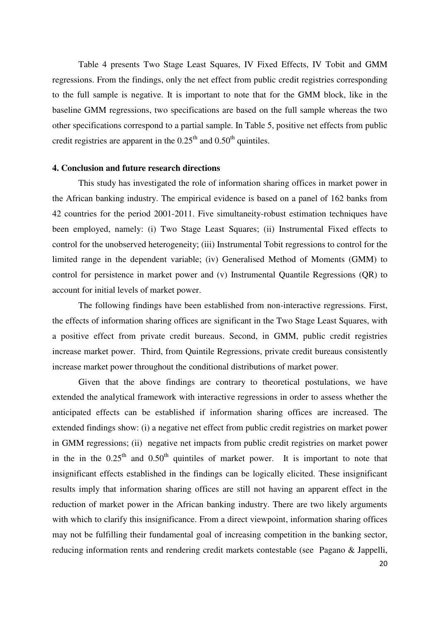Table 4 presents Two Stage Least Squares, IV Fixed Effects, IV Tobit and GMM regressions. From the findings, only the net effect from public credit registries corresponding to the full sample is negative. It is important to note that for the GMM block, like in the baseline GMM regressions, two specifications are based on the full sample whereas the two other specifications correspond to a partial sample. In Table 5, positive net effects from public credit registries are apparent in the  $0.25<sup>th</sup>$  and  $0.50<sup>th</sup>$  quintiles.

#### **4. Conclusion and future research directions**

 This study has investigated the role of information sharing offices in market power in the African banking industry. The empirical evidence is based on a panel of 162 banks from 42 countries for the period 2001-2011. Five simultaneity-robust estimation techniques have been employed, namely: (i) Two Stage Least Squares; (ii) Instrumental Fixed effects to control for the unobserved heterogeneity; (iii) Instrumental Tobit regressions to control for the limited range in the dependent variable; (iv) Generalised Method of Moments (GMM) to control for persistence in market power and (v) Instrumental Quantile Regressions (QR) to account for initial levels of market power.

 The following findings have been established from non-interactive regressions. First, the effects of information sharing offices are significant in the Two Stage Least Squares, with a positive effect from private credit bureaus. Second, in GMM, public credit registries increase market power. Third, from Quintile Regressions, private credit bureaus consistently increase market power throughout the conditional distributions of market power.

 Given that the above findings are contrary to theoretical postulations, we have extended the analytical framework with interactive regressions in order to assess whether the anticipated effects can be established if information sharing offices are increased. The extended findings show: (i) a negative net effect from public credit registries on market power in GMM regressions; (ii) negative net impacts from public credit registries on market power in the in the  $0.25<sup>th</sup>$  and  $0.50<sup>th</sup>$  quintiles of market power. It is important to note that insignificant effects established in the findings can be logically elicited. These insignificant results imply that information sharing offices are still not having an apparent effect in the reduction of market power in the African banking industry. There are two likely arguments with which to clarify this insignificance. From a direct viewpoint, information sharing offices may not be fulfilling their fundamental goal of increasing competition in the banking sector, reducing information rents and rendering credit markets contestable (see Pagano & Jappelli,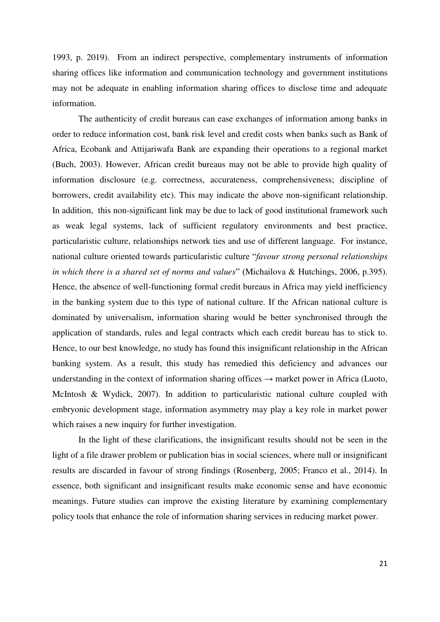1993, p. 2019). From an indirect perspective, complementary instruments of information sharing offices like information and communication technology and government institutions may not be adequate in enabling information sharing offices to disclose time and adequate information.

The authenticity of credit bureaus can ease exchanges of information among banks in order to reduce information cost, bank risk level and credit costs when banks such as Bank of Africa, Ecobank and Attijariwafa Bank are expanding their operations to a regional market (Buch, 2003). However, African credit bureaus may not be able to provide high quality of information disclosure (e.g. correctness, accurateness, comprehensiveness; discipline of borrowers, credit availability etc). This may indicate the above non-significant relationship. In addition, this non-significant link may be due to lack of good institutional framework such as weak legal systems, lack of sufficient regulatory environments and best practice, particularistic culture, relationships network ties and use of different language. For instance, national culture oriented towards particularistic culture "*favour strong personal relationships in which there is a shared set of norms and values*" (Michailova & Hutchings, 2006, p.395). Hence, the absence of well-functioning formal credit bureaus in Africa may yield inefficiency in the banking system due to this type of national culture. If the African national culture is dominated by universalism, information sharing would be better synchronised through the application of standards, rules and legal contracts which each credit bureau has to stick to. Hence, to our best knowledge, no study has found this insignificant relationship in the African banking system. As a result, this study has remedied this deficiency and advances our understanding in the context of information sharing offices  $\rightarrow$  market power in Africa (Luoto, McIntosh & Wydick, 2007). In addition to particularistic national culture coupled with embryonic development stage, information asymmetry may play a key role in market power which raises a new inquiry for further investigation.

In the light of these clarifications, the insignificant results should not be seen in the light of a file drawer problem or publication bias in social sciences, where null or insignificant results are discarded in favour of strong findings (Rosenberg, 2005; Franco et al., 2014). In essence, both significant and insignificant results make economic sense and have economic meanings. Future studies can improve the existing literature by examining complementary policy tools that enhance the role of information sharing services in reducing market power.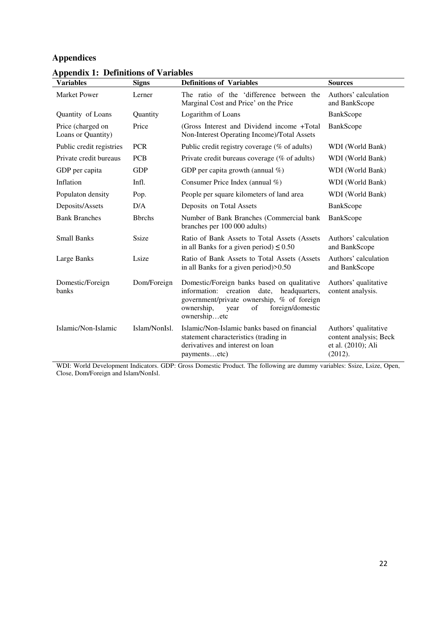## **Appendices**

| <b>Variables</b>                        | <b>Signs</b>   | <b>Definitions of Variables</b>                                                                                                                                                                        | <b>Sources</b>                                                                  |
|-----------------------------------------|----------------|--------------------------------------------------------------------------------------------------------------------------------------------------------------------------------------------------------|---------------------------------------------------------------------------------|
| <b>Market Power</b>                     | Lerner         | The ratio of the 'difference between the<br>Marginal Cost and Price' on the Price                                                                                                                      | Authors' calculation<br>and BankScope                                           |
| Quantity of Loans                       | Quantity       | Logarithm of Loans                                                                                                                                                                                     | BankScope                                                                       |
| Price (charged on<br>Loans or Quantity) | Price          | (Gross Interest and Dividend income +Total<br>Non-Interest Operating Income)/Total Assets                                                                                                              | BankScope                                                                       |
| Public credit registries                | <b>PCR</b>     | Public credit registry coverage (% of adults)                                                                                                                                                          | WDI (World Bank)                                                                |
| Private credit bureaus                  | <b>PCB</b>     | Private credit bureaus coverage (% of adults)                                                                                                                                                          | WDI (World Bank)                                                                |
| GDP per capita                          | <b>GDP</b>     | GDP per capita growth (annual $\%$ )                                                                                                                                                                   | WDI (World Bank)                                                                |
| Inflation                               | Infl.          | Consumer Price Index (annual %)                                                                                                                                                                        | WDI (World Bank)                                                                |
| Populaton density                       | Pop.           | People per square kilometers of land area                                                                                                                                                              | WDI (World Bank)                                                                |
| Deposits/Assets                         | D/A            | Deposits on Total Assets                                                                                                                                                                               | BankScope                                                                       |
| <b>Bank Branches</b>                    | <b>B</b> brchs | Number of Bank Branches (Commercial bank<br>branches per 100 000 adults)                                                                                                                               | BankScope                                                                       |
| <b>Small Banks</b>                      | Ssize          | Ratio of Bank Assets to Total Assets (Assets<br>in all Banks for a given period) $\leq 0.50$                                                                                                           | Authors' calculation<br>and BankScope                                           |
| Large Banks                             | Lsize          | Ratio of Bank Assets to Total Assets (Assets<br>in all Banks for a given period) > 0.50                                                                                                                | Authors' calculation<br>and BankScope                                           |
| Domestic/Foreign<br>banks               | Dom/Foreign    | Domestic/Foreign banks based on qualitative<br>information: creation date, headquarters,<br>government/private ownership, % of foreign<br>ownership,<br>foreign/domestic<br>of<br>year<br>ownershipetc | Authors' qualitative<br>content analysis.                                       |
| Islamic/Non-Islamic                     | Islam/NonIsl.  | Islamic/Non-Islamic banks based on financial<br>statement characteristics (trading in<br>derivatives and interest on loan<br>paymentsetc)                                                              | Authors' qualitative<br>content analysis; Beck<br>et al. (2010); Ali<br>(2012). |

## **Appendix 1: Definitions of Variables**

WDI: World Development Indicators. GDP: Gross Domestic Product. The following are dummy variables: Ssize, Lsize, Open, Close, Dom/Foreign and Islam/NonIsl.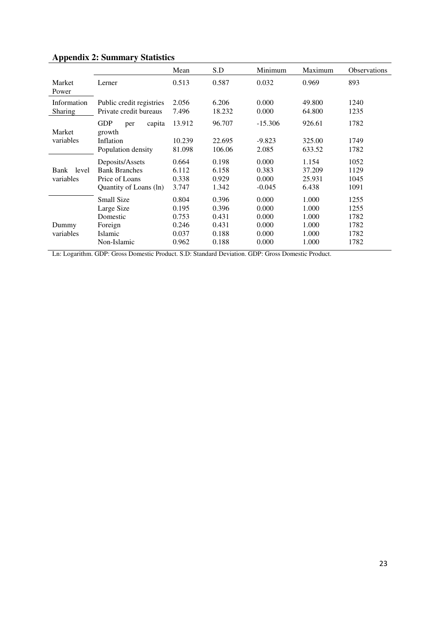|                        |                                                    | Mean             | S.D              | Minimum           | Maximum          | <b>Observations</b> |
|------------------------|----------------------------------------------------|------------------|------------------|-------------------|------------------|---------------------|
| Market<br>Power        | Lerner                                             | 0.513            | 0.587            | 0.032             | 0.969            | 893                 |
| Information<br>Sharing | Public credit registries<br>Private credit bureaus | 2.056<br>7.496   | 6.206<br>18.232  | 0.000<br>0.000    | 49.800<br>64.800 | 1240<br>1235        |
| Market                 | <b>GDP</b><br>capita<br>per<br>growth              | 13.912           | 96.707           | $-15.306$         | 926.61           | 1782                |
| variables              | Inflation<br>Population density                    | 10.239<br>81.098 | 22.695<br>106.06 | $-9.823$<br>2.085 | 325.00<br>633.52 | 1749<br>1782        |
|                        | Deposits/Assets                                    | 0.664            | 0.198            | 0.000             | 1.154            | 1052                |
| level<br>Bank          | <b>Bank Branches</b>                               | 6.112            | 6.158            | 0.383             | 37.209           | 1129                |
| variables              | Price of Loans                                     | 0.338            | 0.929            | 0.000             | 25.931           | 1045                |
|                        | Quantity of Loans (ln)                             | 3.747            | 1.342            | $-0.045$          | 6.438            | 1091                |
|                        | Small Size                                         | 0.804            | 0.396            | 0.000             | 1.000            | 1255                |
|                        | Large Size                                         | 0.195            | 0.396            | 0.000             | 1.000            | 1255                |
|                        | Domestic                                           | 0.753            | 0.431            | 0.000             | 1.000            | 1782                |
| Dummy                  | Foreign                                            | 0.246            | 0.431            | 0.000             | 1.000            | 1782                |
| variables              | Islamic                                            | 0.037            | 0.188            | 0.000             | 1.000            | 1782                |
|                        | Non-Islamic                                        | 0.962            | 0.188            | 0.000             | 1.000            | 1782                |

# **Appendix 2: Summary Statistics**

Ln: Logarithm. GDP: Gross Domestic Product. S.D: Standard Deviation. GDP: Gross Domestic Product.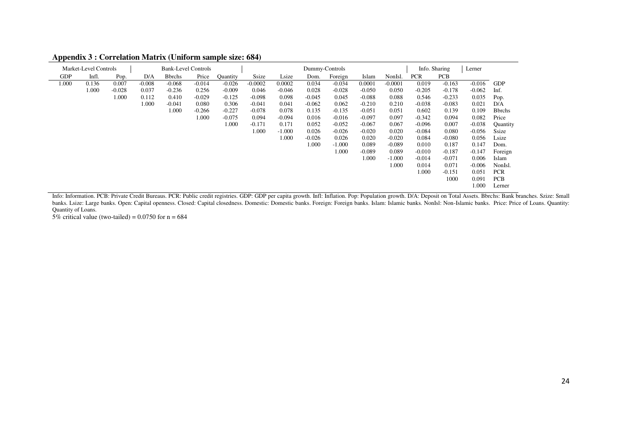|            | Market-Level Controls |          |          | <b>Bank-Level Controls</b> |          |          |           |          |          | Dummy-Controls |          |           |            | Info. Sharing | Lerner   |                |
|------------|-----------------------|----------|----------|----------------------------|----------|----------|-----------|----------|----------|----------------|----------|-----------|------------|---------------|----------|----------------|
| <b>GDP</b> | Infl.                 | Pop.     | D/A      | <b>B</b> brchs             | Price    | Quantity | Ssize     | Lsize    | Dom.     | Foreign        | Islam    | NonIsl.   | <b>PCR</b> | <b>PCB</b>    |          |                |
| 1.000      | 0.136                 | 0.007    | $-0.008$ | $-0.068$                   | $-0.014$ | $-0.026$ | $-0.0002$ | 0.0002   | 0.034    | $-0.034$       | 0.0001   | $-0.0001$ | 0.019      | $-0.163$      | $-0.016$ | <b>GDP</b>     |
|            | 1.000                 | $-0.028$ | 0.037    | $-0.236$                   | 0.256    | $-0.009$ | 0.046     | $-0.046$ | 0.028    | $-0.028$       | $-0.050$ | 0.050     | $-0.205$   | $-0.178$      | $-0.062$ | Inf.           |
|            |                       | 1.000    | 0.112    | 0.410                      | $-0.029$ | $-0.125$ | $-0.098$  | 0.098    | $-0.045$ | 0.045          | $-0.088$ | 0.088     | 0.546      | $-0.233$      | 0.035    | Pop.           |
|            |                       |          | 1.000    | $-0.041$                   | 0.080    | 0.306    | $-0.041$  | 0.041    | $-0.062$ | 0.062          | $-0.210$ | 0.210     | $-0.038$   | $-0.083$      | 0.021    | D/A            |
|            |                       |          |          | 1.000                      | $-0.266$ | $-0.227$ | $-0.078$  | 0.078    | 0.135    | $-0.135$       | $-0.051$ | 0.051     | 0.602      | 0.139         | 0.109    | <b>B</b> brchs |
|            |                       |          |          |                            | 1.000    | $-0.075$ | 0.094     | $-0.094$ | 0.016    | $-0.016$       | $-0.097$ | 0.097     | $-0.342$   | 0.094         | 0.082    | Price          |
|            |                       |          |          |                            |          | 1.000    | $-0.171$  | 0.171    | 0.052    | $-0.052$       | $-0.067$ | 0.067     | $-0.096$   | 0.007         | $-0.038$ | Quantity       |
|            |                       |          |          |                            |          |          | 1.000     | $-1.000$ | 0.026    | $-0.026$       | $-0.020$ | 0.020     | $-0.084$   | 0.080         | $-0.056$ | Ssize          |
|            |                       |          |          |                            |          |          |           | 1.000    | $-0.026$ | 0.026          | 0.020    | $-0.020$  | 0.084      | $-0.080$      | 0.056    | Lsize          |
|            |                       |          |          |                            |          |          |           |          | 1.000    | $-1.000$       | 0.089    | $-0.089$  | 0.010      | 0.187         | 0.147    | Dom.           |
|            |                       |          |          |                            |          |          |           |          |          | 1.000          | $-0.089$ | 0.089     | $-0.010$   | $-0.187$      | $-0.147$ | Foreign        |
|            |                       |          |          |                            |          |          |           |          |          |                | 1.000    | $-1.000$  | $-0.014$   | $-0.071$      | 0.006    | Islam          |
|            |                       |          |          |                            |          |          |           |          |          |                |          | 1.000     | 0.014      | 0.071         | $-0.006$ | NonIsl.        |
|            |                       |          |          |                            |          |          |           |          |          |                |          |           | 1.000      | $-0.151$      | 0.051    | <b>PCR</b>     |
|            |                       |          |          |                            |          |          |           |          |          |                |          |           |            | 1000          | 0.091    | <b>PCB</b>     |
|            |                       |          |          |                            |          |          |           |          |          |                |          |           |            |               | 1.000    | Lerner         |

#### **Appendix 3 : Correlation Matrix (Uniform sample size: 684)**

Info: Information. PCB: Private Credit Bureaus. PCR: Public credit registries. GDP: GDP per capita growth. Infl: Inflation. Pop: Population growth. D/A: Deposit on Total Assets. Bbrchs: Bank branches. Szize: Small banks. Lsize: Large banks. Open: Capital openness. Closed: Capital closedness. Domestic: Domestic banks. Foreign: Foreign banks. Islam: Islamic banks. NonIsl: Non-Islamic banks. Price: Price of Loans. Quantity: Quantity of Loans.

5% critical value (two-tailed) =  $0.0750$  for n = 684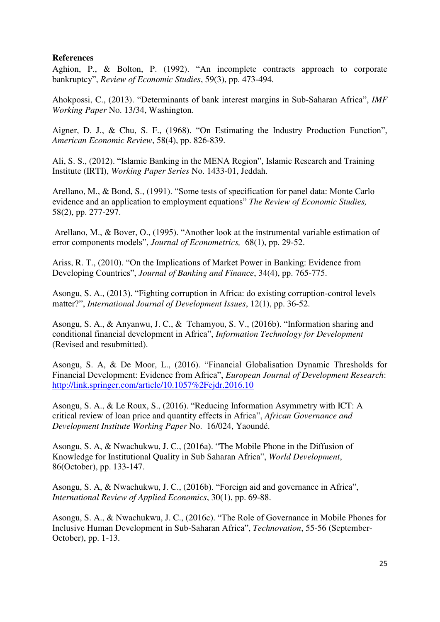#### **References**

Aghion, P., & Bolton, P. (1992). "An incomplete contracts approach to corporate bankruptcy", *Review of Economic Studies*, 59(3), pp. 473-494.

Ahokpossi, C., (2013). "Determinants of bank interest margins in Sub-Saharan Africa", *IMF Working Paper* No. 13/34, Washington.

Aigner, D. J., & Chu, S. F., (1968). "On Estimating the Industry Production Function", *American Economic Review*, 58(4), pp. 826-839.

Ali, S. S., (2012). "Islamic Banking in the MENA Region", Islamic Research and Training Institute (IRTI), *Working Paper Series* No. 1433-01, Jeddah.

Arellano, M., & Bond, S., (1991). "Some tests of specification for panel data: Monte Carlo evidence and an application to employment equations" *The Review of Economic Studies,* 58(2), pp. 277-297.

Arellano, M., & Bover, O., (1995). "Another look at the instrumental variable estimation of error components models", *Journal of Econometrics,* 68(1), pp. 29-52.

Ariss, R. T., (2010). "On the Implications of Market Power in Banking: Evidence from Developing Countries", *Journal of Banking and Finance*, 34(4), pp. 765-775.

Asongu, S. A., (2013). "Fighting corruption in Africa: do existing corruption-control levels matter?", *International Journal of Development Issues*, 12(1), pp. 36-52.

Asongu, S. A., & Anyanwu, J. C., & Tchamyou, S. V., (2016b). "Information sharing and conditional financial development in Africa", *Information Technology for Development* (Revised and resubmitted).

Asongu, S. A, & De Moor, L., (2016). "Financial Globalisation Dynamic Thresholds for Financial Development: Evidence from Africa", *European Journal of Development Research*: <http://link.springer.com/article/10.1057%2Fejdr.2016.10>

Asongu, S. A., & Le Roux, S., (2016). "Reducing Information Asymmetry with ICT: A critical review of loan price and quantity effects in Africa", *African Governance and Development Institute Working Paper* No. 16/024, Yaoundé.

Asongu, S. A, & Nwachukwu, J. C., (2016a). "The Mobile Phone in the Diffusion of Knowledge for Institutional Quality in Sub Saharan Africa", *World Development*, 86(October), pp. 133-147.

Asongu, S. A, & Nwachukwu, J. C., (2016b). "Foreign aid and governance in Africa", *International Review of Applied Economics*, 30(1), pp. 69-88.

Asongu, S. A., & Nwachukwu, J. C., (2016c). "The Role of Governance in Mobile Phones for Inclusive Human Development in Sub-Saharan Africa", *Technovation*, 55-56 (September-October), pp. 1-13.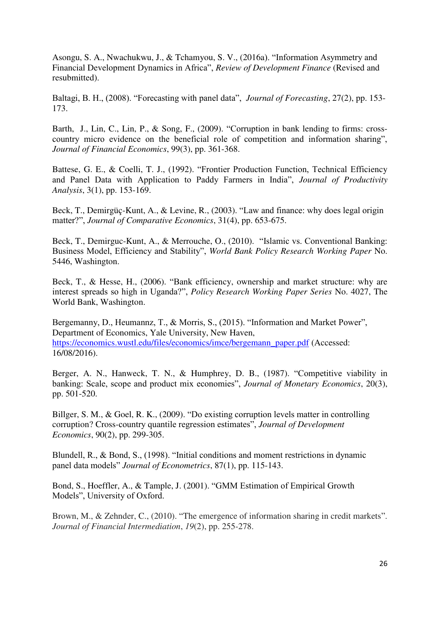Asongu, S. A., Nwachukwu, J., & Tchamyou, S. V., (2016a). "Information Asymmetry and Financial Development Dynamics in Africa", *Review of Development Finance* (Revised and resubmitted).

Baltagi, B. H., (2008). "Forecasting with panel data", *Journal of Forecasting*, 27(2), pp. 153- 173.

Barth, J., Lin, C., Lin, P., & Song, F., (2009). "Corruption in bank lending to firms: crosscountry micro evidence on the beneficial role of competition and information sharing", *Journal of Financial Economics*, 99(3), pp. 361-368.

Battese, G. E., & Coelli, T. J., (1992). "Frontier Production Function, Technical Efficiency and Panel Data with Application to Paddy Farmers in India", *Journal of Productivity Analysis*, 3(1), pp. 153-169.

Beck, T., Demirgüç-Kunt, A., & Levine, R., (2003). "Law and finance: why does legal origin matter?", *Journal of Comparative Economics*, 31(4), pp. 653-675.

Beck, T., Demirguc-Kunt, A., & Merrouche, O., (2010). "Islamic vs. Conventional Banking: Business Model, Efficiency and Stability", *World Bank Policy Research Working Paper* No. 5446, Washington.

Beck, T., & Hesse, H., (2006). "Bank efficiency, ownership and market structure: why are interest spreads so high in Uganda?", *Policy Research Working Paper Series* No. 4027, The World Bank, Washington.

Bergemanny, D., Heumannz, T., & Morris, S., (2015). "Information and Market Power", Department of Economics, Yale University, New Haven, [https://economics.wustl.edu/files/economics/imce/bergemann\\_paper.pdf](https://economics.wustl.edu/files/economics/imce/bergemann_paper.pdf) (Accessed: 16/08/2016).

Berger, A. N., Hanweck, T. N., & Humphrey, D. B., (1987). "Competitive viability in banking: Scale, scope and product mix economies", *Journal of Monetary Economics*, 20(3), pp. 501-520.

Billger, S. M., & Goel, R. K., (2009). "Do existing corruption levels matter in controlling corruption? Cross-country quantile regression estimates", *Journal of Development Economics*, 90(2), pp. 299-305.

Blundell, R., & Bond, S., (1998). "Initial conditions and moment restrictions in dynamic panel data models" *Journal of Econometrics*, 87(1), pp. 115-143.

Bond, S., Hoeffler, A., & Tample, J. (2001). "GMM Estimation of Empirical Growth Models", University of Oxford.

Brown, M., & Zehnder, C., (2010). "The emergence of information sharing in credit markets". *Journal of Financial Intermediation*, *19*(2), pp. 255-278.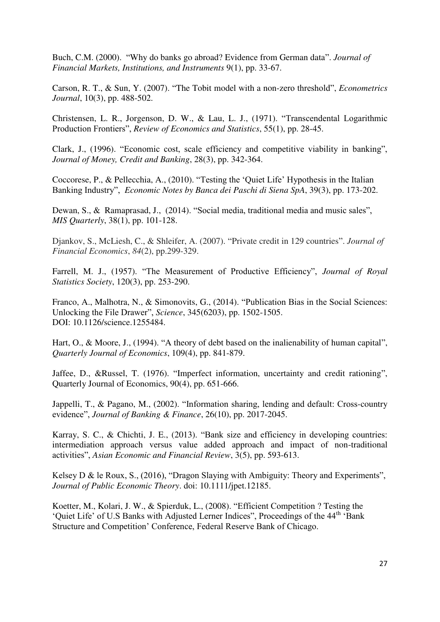Buch, C.M. (2000). "Why do banks go abroad? Evidence from German data". *Journal of Financial Markets, Institutions, and Instruments* 9(1), pp. 33-67.

Carson, R. T., & Sun, Y. (2007). "The Tobit model with a non-zero threshold", *Econometrics Journal*, 10(3), pp. 488-502.

Christensen, L. R., Jorgenson, D. W., & Lau, L. J., (1971). "Transcendental Logarithmic Production Frontiers", *Review of Economics and Statistics*, 55(1), pp. 28-45.

Clark, J., (1996). "Economic cost, scale efficiency and competitive viability in banking", *Journal of Money, Credit and Banking*, 28(3), pp. 342-364.

Coccorese, P., & Pellecchia, A., (2010). "Testing the 'Quiet Life' Hypothesis in the Italian Banking Industry", *Economic Notes by Banca dei Paschi di Siena SpA*, 39(3), pp. 173-202.

Dewan, S., & Ramaprasad, J., (2014). "Social media, traditional media and music sales", *MIS Quarterly*, 38(1), pp. 101-128.

Djankov, S., McLiesh, C., & Shleifer, A. (2007). "Private credit in 129 countries". *Journal of Financial Economics*, *84*(2), pp.299-329.

Farrell, M. J., (1957). "The Measurement of Productive Efficiency", *Journal of Royal Statistics Society*, 120(3), pp. 253-290.

Franco, A., Malhotra, N., & Simonovits, G., (2014). "Publication Bias in the Social Sciences: Unlocking the File Drawer", *Science*, 345(6203), pp. 1502-1505. DOI: 10.1126/science.1255484.

Hart, O., & Moore, J., (1994). "A theory of debt based on the inalienability of human capital", *Quarterly Journal of Economics*, 109(4), pp. 841-879.

Jaffee, D., &Russel, T. (1976). "Imperfect information, uncertainty and credit rationing", Quarterly Journal of Economics, 90(4), pp. 651-666.

Jappelli, T., & Pagano, M., (2002). "Information sharing, lending and default: Cross-country evidence", *Journal of Banking & Finance*, 26(10), pp. 2017-2045.

Karray, S. C., & Chichti, J. E., (2013). "Bank size and efficiency in developing countries: intermediation approach versus value added approach and impact of non-traditional activities", *Asian Economic and Financial Review*, 3(5), pp. 593-613.

Kelsey D & le Roux, S., (2016), "Dragon Slaying with Ambiguity: Theory and Experiments", *Journal of Public Economic Theory*. doi: 10.1111/jpet.12185.

Koetter, M., Kolari, J. W., & Spierduk, L., (2008). "Efficient Competition ? Testing the 'Quiet Life' of U.S Banks with Adjusted Lerner Indices", Proceedings of the 44<sup>th</sup> 'Bank Structure and Competition' Conference, Federal Reserve Bank of Chicago.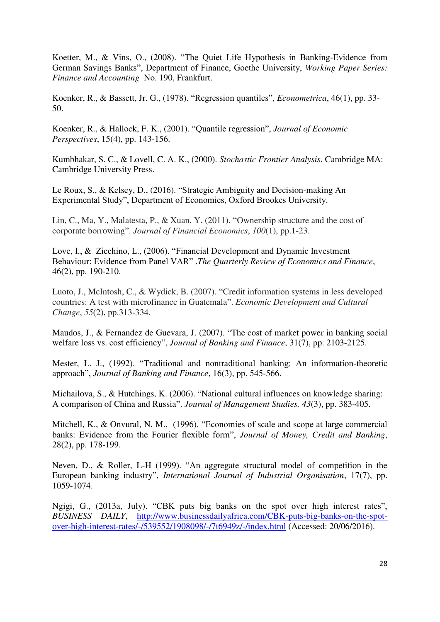Koetter, M., & Vins, O., (2008). "The Quiet Life Hypothesis in Banking-Evidence from German Savings Banks", Department of Finance, Goethe University, *Working Paper Series: Finance and Accounting* No. 190, Frankfurt.

Koenker, R., & Bassett, Jr. G., (1978). "Regression quantiles", *Econometrica*, 46(1), pp. 33- 50.

Koenker, R., & Hallock, F. K., (2001). "Quantile regression", *Journal of Economic Perspectives*, 15(4), pp. 143-156.

Kumbhakar, S. C., & Lovell, C. A. K., (2000). *Stochastic Frontier Analysis*, Cambridge MA: Cambridge University Press.

Le Roux, S., & Kelsey, D., (2016). "Strategic Ambiguity and Decision-making An Experimental Study", Department of Economics, Oxford Brookes University.

Lin, C., Ma, Y., Malatesta, P., & Xuan, Y. (2011). "Ownership structure and the cost of corporate borrowing". *Journal of Financial Economics*, *100*(1), pp.1-23.

Love, I., & Zicchino, L., (2006). "Financial Development and Dynamic Investment Behaviour: Evidence from Panel VAR" .*The Quarterly Review of Economics and Finance*, 46(2), pp. 190-210.

Luoto, J., McIntosh, C., & Wydick, B. (2007). "Credit information systems in less developed countries: A test with microfinance in Guatemala". *Economic Development and Cultural Change*, *55*(2), pp.313-334.

Maudos, J., & Fernandez de Guevara, J. (2007). "The cost of market power in banking social welfare loss vs. cost efficiency", *Journal of Banking and Finance*, 31(7), pp. 2103-2125.

Mester, L. J., (1992). "Traditional and nontraditional banking: An information-theoretic approach", *Journal of Banking and Finance*, 16(3), pp. 545-566.

Michailova, S., & Hutchings, K. (2006). "National cultural influences on knowledge sharing: A comparison of China and Russia". *Journal of Management Studies, 43*(3), pp. 383-405.

Mitchell, K., & Onvural, N. M., (1996). "Economies of scale and scope at large commercial banks: Evidence from the Fourier flexible form", *Journal of Money, Credit and Banking*, 28(2), pp. 178-199.

Neven, D., & Roller, L-H (1999). "An aggregate structural model of competition in the European banking industry", *International Journal of Industrial Organisation*, 17(7), pp. 1059-1074.

Ngigi, G., (2013a, July). "CBK puts big banks on the spot over high interest rates", *BUSINESS DAILY*, [http://www.businessdailyafrica.com/CBK-puts-big-banks-on-the-spot](http://www.businessdailyafrica.com/CBK-puts-big-banks-on-the-spot-over-high-interest-rates/-/539552/1908098/-/7t6949z/-/index.html)[over-high-interest-rates/-/539552/1908098/-/7t6949z/-/index.html](http://www.businessdailyafrica.com/CBK-puts-big-banks-on-the-spot-over-high-interest-rates/-/539552/1908098/-/7t6949z/-/index.html) (Accessed: 20/06/2016).